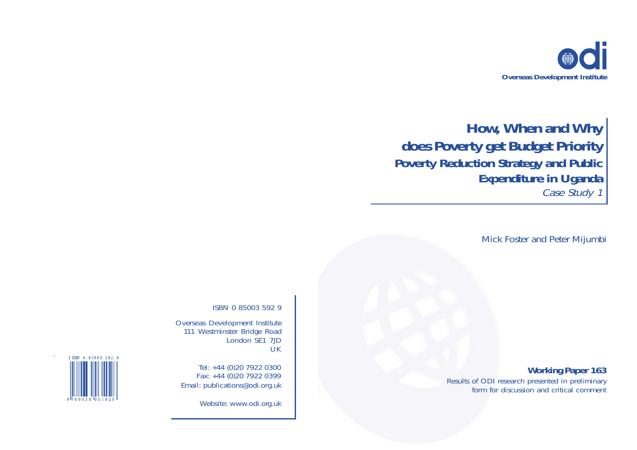

# **How, When and Why does Poverty get Budget Priority Poverty Reduction Strategy and Public Expenditure in Uganda** Case Study 1

Mick Foster and Peter Mijumbi

## **Working Paper 163**

Results of ODI research presented in preliminary form for discussion and critical comment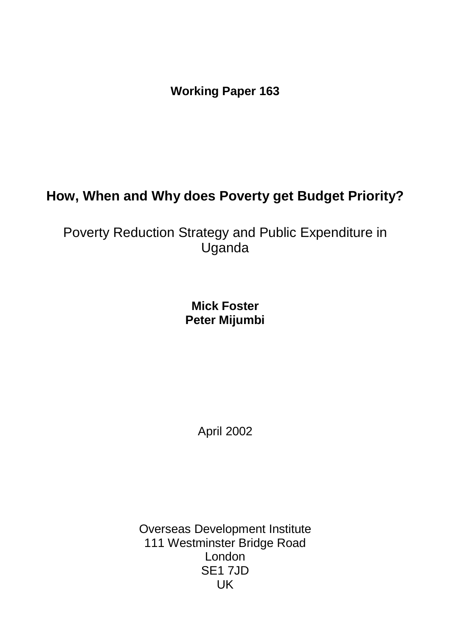**Working Paper 163**

## **How, When and Why does Poverty get Budget Priority?**

Poverty Reduction Strategy and Public Expenditure in Uganda

> **Mick Foster Peter Mijumbi**

> > April 2002

Overseas Development Institute 111 Westminster Bridge Road London SE1 7JD UK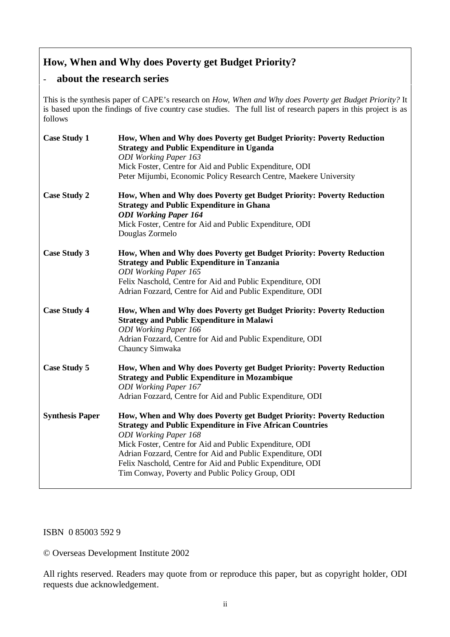## **How, When and Why does Poverty get Budget Priority?**

## - **about the research series**

This is the synthesis paper of CAPE's research on *How, When and Why does Poverty get Budget Priority?* It is based upon the findings of five country case studies. The full list of research papers in this project is as follows

| <b>Case Study 1</b>    | How, When and Why does Poverty get Budget Priority: Poverty Reduction<br><b>Strategy and Public Expenditure in Uganda</b><br><b>ODI</b> Working Paper 163<br>Mick Foster, Centre for Aid and Public Expenditure, ODI<br>Peter Mijumbi, Economic Policy Research Centre, Maekere University                                                                                                                           |
|------------------------|----------------------------------------------------------------------------------------------------------------------------------------------------------------------------------------------------------------------------------------------------------------------------------------------------------------------------------------------------------------------------------------------------------------------|
| <b>Case Study 2</b>    | How, When and Why does Poverty get Budget Priority: Poverty Reduction<br><b>Strategy and Public Expenditure in Ghana</b><br><b>ODI Working Paper 164</b><br>Mick Foster, Centre for Aid and Public Expenditure, ODI<br>Douglas Zormelo                                                                                                                                                                               |
| <b>Case Study 3</b>    | How, When and Why does Poverty get Budget Priority: Poverty Reduction<br><b>Strategy and Public Expenditure in Tanzania</b><br><b>ODI</b> Working Paper 165<br>Felix Naschold, Centre for Aid and Public Expenditure, ODI<br>Adrian Fozzard, Centre for Aid and Public Expenditure, ODI                                                                                                                              |
| <b>Case Study 4</b>    | How, When and Why does Poverty get Budget Priority: Poverty Reduction<br><b>Strategy and Public Expenditure in Malawi</b><br><b>ODI</b> Working Paper 166<br>Adrian Fozzard, Centre for Aid and Public Expenditure, ODI<br>Chauncy Simwaka                                                                                                                                                                           |
| <b>Case Study 5</b>    | How, When and Why does Poverty get Budget Priority: Poverty Reduction<br><b>Strategy and Public Expenditure in Mozambique</b><br><b>ODI</b> Working Paper 167<br>Adrian Fozzard, Centre for Aid and Public Expenditure, ODI                                                                                                                                                                                          |
| <b>Synthesis Paper</b> | How, When and Why does Poverty get Budget Priority: Poverty Reduction<br><b>Strategy and Public Expenditure in Five African Countries</b><br><b>ODI</b> Working Paper 168<br>Mick Foster, Centre for Aid and Public Expenditure, ODI<br>Adrian Fozzard, Centre for Aid and Public Expenditure, ODI<br>Felix Naschold, Centre for Aid and Public Expenditure, ODI<br>Tim Conway, Poverty and Public Policy Group, ODI |

#### ISBN 0 85003 592 9

© Overseas Development Institute 2002

All rights reserved. Readers may quote from or reproduce this paper, but as copyright holder, ODI requests due acknowledgement.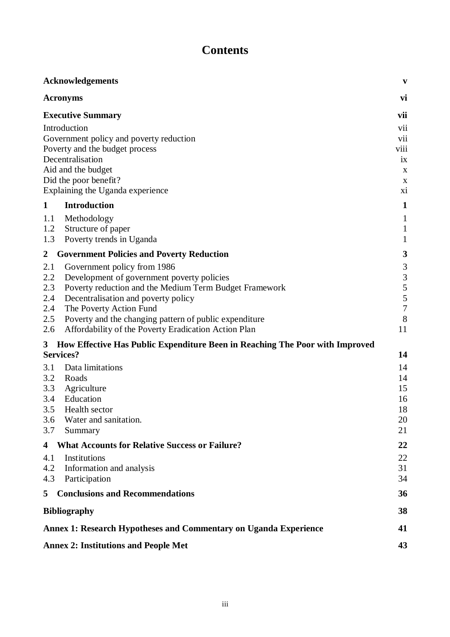## **Contents**

|                | <b>Acknowledgements</b>                                                      | $\boldsymbol{\mathrm{v}}$ |  |  |  |  |
|----------------|------------------------------------------------------------------------------|---------------------------|--|--|--|--|
|                | <b>Acronyms</b>                                                              | vi                        |  |  |  |  |
|                | <b>Executive Summary</b>                                                     | vii                       |  |  |  |  |
|                | Introduction                                                                 | vii                       |  |  |  |  |
|                | Government policy and poverty reduction                                      | vii<br>viii               |  |  |  |  |
|                | Poverty and the budget process                                               |                           |  |  |  |  |
|                | Decentralisation                                                             | ix                        |  |  |  |  |
|                | Aid and the budget                                                           | X                         |  |  |  |  |
|                | Did the poor benefit?                                                        | X                         |  |  |  |  |
|                | Explaining the Uganda experience                                             | xi                        |  |  |  |  |
| 1              | <b>Introduction</b>                                                          | $\mathbf{1}$              |  |  |  |  |
| 1.1            | Methodology                                                                  | $\mathbf{1}$              |  |  |  |  |
| 1.2            | Structure of paper                                                           | $\mathbf{1}$              |  |  |  |  |
| 1.3            | Poverty trends in Uganda                                                     | $\mathbf{1}$              |  |  |  |  |
| $\overline{2}$ | <b>Government Policies and Poverty Reduction</b>                             | 3                         |  |  |  |  |
| 2.1            | Government policy from 1986                                                  | $\mathfrak{Z}$            |  |  |  |  |
| 2.2            | Development of government poverty policies                                   | $\mathfrak{Z}$            |  |  |  |  |
| 2.3            | Poverty reduction and the Medium Term Budget Framework                       | 5                         |  |  |  |  |
| 2.4<br>2.4     | Decentralisation and poverty policy<br>The Poverty Action Fund               | 5<br>$\overline{7}$       |  |  |  |  |
| 2.5            | Poverty and the changing pattern of public expenditure                       | 8                         |  |  |  |  |
| 2.6            | Affordability of the Poverty Eradication Action Plan                         | 11                        |  |  |  |  |
| $\mathbf{3}$   | How Effective Has Public Expenditure Been in Reaching The Poor with Improved |                           |  |  |  |  |
|                | <b>Services?</b>                                                             | 14                        |  |  |  |  |
| 3.1            | Data limitations                                                             | 14                        |  |  |  |  |
| 3.2            | Roads                                                                        | 14                        |  |  |  |  |
| 3.3            | Agriculture                                                                  | 15                        |  |  |  |  |
| 3.4            | Education                                                                    | 16                        |  |  |  |  |
| 3.5<br>3.6     | Health sector<br>Water and sanitation.                                       | 18<br>20                  |  |  |  |  |
| 3.7            | Summary                                                                      | 21                        |  |  |  |  |
| 4              | <b>What Accounts for Relative Success or Failure?</b>                        | 22                        |  |  |  |  |
|                | Institutions                                                                 |                           |  |  |  |  |
| 4.1<br>4.2     | Information and analysis                                                     | 22<br>31                  |  |  |  |  |
| 4.3            | Participation                                                                | 34                        |  |  |  |  |
| 5              | <b>Conclusions and Recommendations</b>                                       | 36                        |  |  |  |  |
|                | <b>Bibliography</b>                                                          | 38                        |  |  |  |  |
|                |                                                                              |                           |  |  |  |  |
|                | Annex 1: Research Hypotheses and Commentary on Uganda Experience             | 41                        |  |  |  |  |
|                | <b>Annex 2: Institutions and People Met</b>                                  | 43                        |  |  |  |  |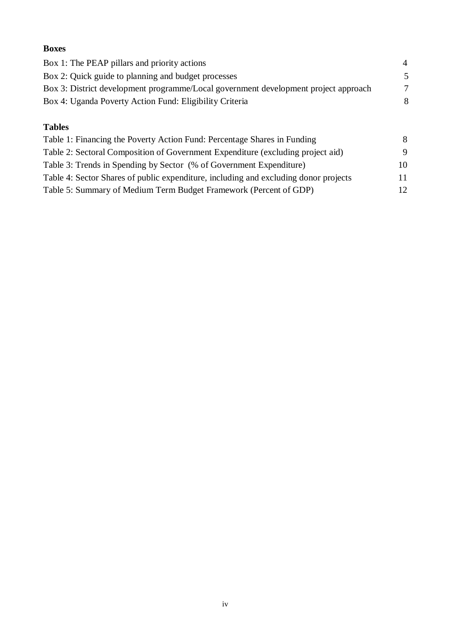## **Boxes** Box 1: The PEAP pillars and priority actions 4 Box 2: Quick guide to planning and budget processes 5 Box 3: District development programme/Local government development project approach 7 Box 4: Uganda Poverty Action Fund: Eligibility Criteria 8 **Tables** Table 1: Financing the Poverty Action Fund: Percentage Shares in Funding 8

| Table 1. I maneing the Foverty Action Fund. I creentage bilares in Funding           |    |
|--------------------------------------------------------------------------------------|----|
| Table 2: Sectoral Composition of Government Expenditure (excluding project aid)      | 9  |
| Table 3: Trends in Spending by Sector (% of Government Expenditure)                  | 10 |
| Table 4: Sector Shares of public expenditure, including and excluding donor projects | 11 |
| Table 5: Summary of Medium Term Budget Framework (Percent of GDP)                    | 12 |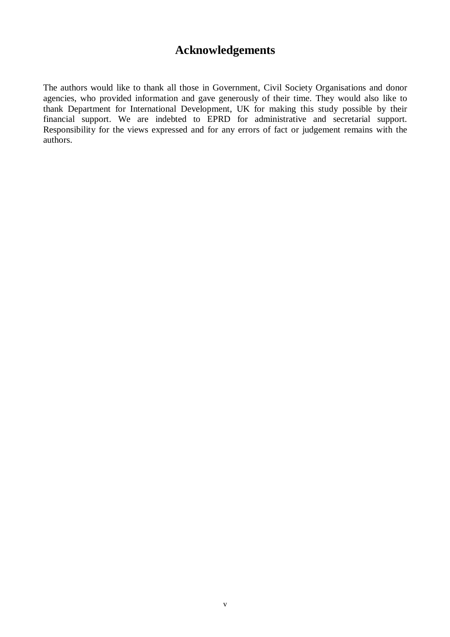## **Acknowledgements**

The authors would like to thank all those in Government, Civil Society Organisations and donor agencies, who provided information and gave generously of their time. They would also like to thank Department for International Development, UK for making this study possible by their financial support. We are indebted to EPRD for administrative and secretarial support. Responsibility for the views expressed and for any errors of fact or judgement remains with the authors.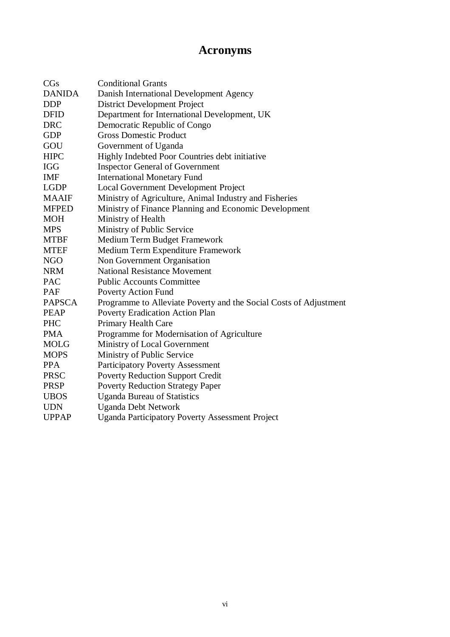## **Acronyms**

| CGs           | <b>Conditional Grants</b>                                         |
|---------------|-------------------------------------------------------------------|
| <b>DANIDA</b> | Danish International Development Agency                           |
| <b>DDP</b>    | <b>District Development Project</b>                               |
| <b>DFID</b>   | Department for International Development, UK                      |
| <b>DRC</b>    | Democratic Republic of Congo                                      |
| <b>GDP</b>    | <b>Gross Domestic Product</b>                                     |
| GOU           | Government of Uganda                                              |
| <b>HIPC</b>   | Highly Indebted Poor Countries debt initiative                    |
| <b>IGG</b>    | <b>Inspector General of Government</b>                            |
| <b>IMF</b>    | <b>International Monetary Fund</b>                                |
| <b>LGDP</b>   | Local Government Development Project                              |
| <b>MAAIF</b>  | Ministry of Agriculture, Animal Industry and Fisheries            |
| <b>MFPED</b>  | Ministry of Finance Planning and Economic Development             |
| <b>MOH</b>    | Ministry of Health                                                |
| <b>MPS</b>    | Ministry of Public Service                                        |
| <b>MTBF</b>   | Medium Term Budget Framework                                      |
| <b>MTEF</b>   | Medium Term Expenditure Framework                                 |
| <b>NGO</b>    | Non Government Organisation                                       |
| <b>NRM</b>    | <b>National Resistance Movement</b>                               |
| <b>PAC</b>    | <b>Public Accounts Committee</b>                                  |
| PAF           | <b>Poverty Action Fund</b>                                        |
| <b>PAPSCA</b> | Programme to Alleviate Poverty and the Social Costs of Adjustment |
| <b>PEAP</b>   | Poverty Eradication Action Plan                                   |
| <b>PHC</b>    | Primary Health Care                                               |
| <b>PMA</b>    | Programme for Modernisation of Agriculture                        |
| <b>MOLG</b>   | Ministry of Local Government                                      |
| <b>MOPS</b>   | Ministry of Public Service                                        |
| <b>PPA</b>    | <b>Participatory Poverty Assessment</b>                           |
| <b>PRSC</b>   | <b>Poverty Reduction Support Credit</b>                           |
| <b>PRSP</b>   | <b>Poverty Reduction Strategy Paper</b>                           |
| <b>UBOS</b>   | <b>Uganda Bureau of Statistics</b>                                |
| <b>UDN</b>    | <b>Uganda Debt Network</b>                                        |
| <b>UPPAP</b>  | <b>Uganda Participatory Poverty Assessment Project</b>            |
|               |                                                                   |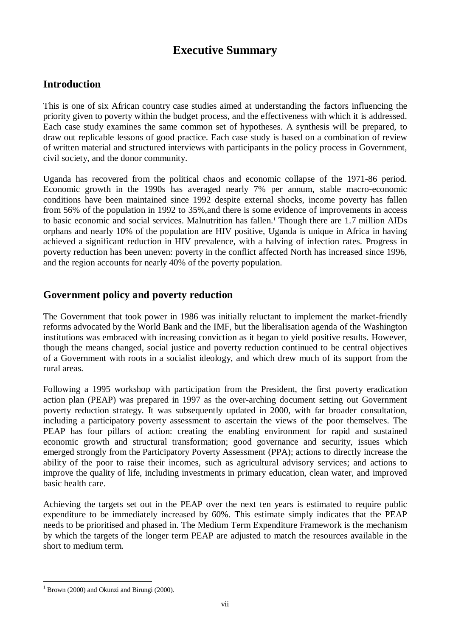## **Executive Summary**

## **Introduction**

This is one of six African country case studies aimed at understanding the factors influencing the priority given to poverty within the budget process, and the effectiveness with which it is addressed. Each case study examines the same common set of hypotheses. A synthesis will be prepared, to draw out replicable lessons of good practice. Each case study is based on a combination of review of written material and structured interviews with participants in the policy process in Government, civil society, and the donor community.

Uganda has recovered from the political chaos and economic collapse of the 1971-86 period. Economic growth in the 1990s has averaged nearly 7% per annum, stable macro-economic conditions have been maintained since 1992 despite external shocks, income poverty has fallen from 56% of the population in 1992 to 35%,and there is some evidence of improvements in access to basic economic and social services. Malnutrition has fallen.1 Though there are 1.7 million AIDs orphans and nearly 10% of the population are HIV positive, Uganda is unique in Africa in having achieved a significant reduction in HIV prevalence, with a halving of infection rates. Progress in poverty reduction has been uneven: poverty in the conflict affected North has increased since 1996, and the region accounts for nearly 40% of the poverty population.

## **Government policy and poverty reduction**

The Government that took power in 1986 was initially reluctant to implement the market-friendly reforms advocated by the World Bank and the IMF, but the liberalisation agenda of the Washington institutions was embraced with increasing conviction as it began to yield positive results. However, though the means changed, social justice and poverty reduction continued to be central objectives of a Government with roots in a socialist ideology, and which drew much of its support from the rural areas.

Following a 1995 workshop with participation from the President, the first poverty eradication action plan (PEAP) was prepared in 1997 as the over-arching document setting out Government poverty reduction strategy. It was subsequently updated in 2000, with far broader consultation, including a participatory poverty assessment to ascertain the views of the poor themselves. The PEAP has four pillars of action: creating the enabling environment for rapid and sustained economic growth and structural transformation; good governance and security, issues which emerged strongly from the Participatory Poverty Assessment (PPA); actions to directly increase the ability of the poor to raise their incomes, such as agricultural advisory services; and actions to improve the quality of life, including investments in primary education, clean water, and improved basic health care.

Achieving the targets set out in the PEAP over the next ten years is estimated to require public expenditure to be immediately increased by 60%. This estimate simply indicates that the PEAP needs to be prioritised and phased in. The Medium Term Expenditure Framework is the mechanism by which the targets of the longer term PEAP are adjusted to match the resources available in the short to medium term.

 $1$  Brown (2000) and Okunzi and Birungi (2000).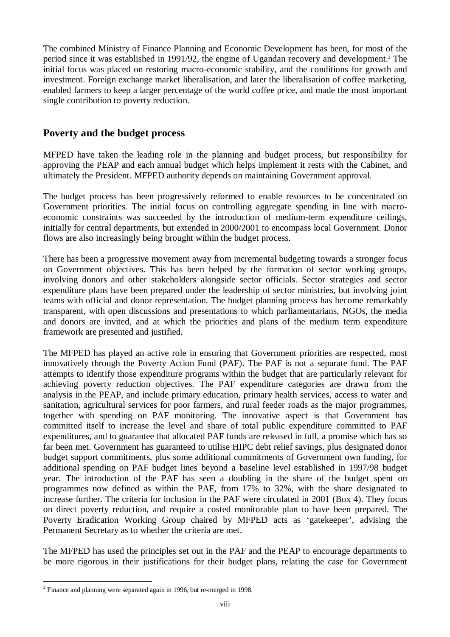The combined Ministry of Finance Planning and Economic Development has been, for most of the period since it was established in 1991/92, the engine of Ugandan recovery and development.2 The initial focus was placed on restoring macro-economic stability, and the conditions for growth and investment. Foreign exchange market liberalisation, and later the liberalisation of coffee marketing, enabled farmers to keep a larger percentage of the world coffee price, and made the most important single contribution to poverty reduction.

## **Poverty and the budget process**

MFPED have taken the leading role in the planning and budget process, but responsibility for approving the PEAP and each annual budget which helps implement it rests with the Cabinet, and ultimately the President. MFPED authority depends on maintaining Government approval.

The budget process has been progressively reformed to enable resources to be concentrated on Government priorities. The initial focus on controlling aggregate spending in line with macroeconomic constraints was succeeded by the introduction of medium-term expenditure ceilings, initially for central departments, but extended in 2000/2001 to encompass local Government. Donor flows are also increasingly being brought within the budget process.

There has been a progressive movement away from incremental budgeting towards a stronger focus on Government objectives. This has been helped by the formation of sector working groups, involving donors and other stakeholders alongside sector officials. Sector strategies and sector expenditure plans have been prepared under the leadership of sector ministries, but involving joint teams with official and donor representation. The budget planning process has become remarkably transparent, with open discussions and presentations to which parliamentarians, NGOs, the media and donors are invited, and at which the priorities and plans of the medium term expenditure framework are presented and justified.

The MFPED has played an active role in ensuring that Government priorities are respected, most innovatively through the Poverty Action Fund (PAF). The PAF is not a separate fund. The PAF attempts to identify those expenditure programs within the budget that are particularly relevant for achieving poverty reduction objectives. The PAF expenditure categories are drawn from the analysis in the PEAP, and include primary education, primary health services, access to water and sanitation, agricultural services for poor farmers, and rural feeder roads as the major programmes, together with spending on PAF monitoring. The innovative aspect is that Government has committed itself to increase the level and share of total public expenditure committed to PAF expenditures, and to guarantee that allocated PAF funds are released in full, a promise which has so far been met. Government has guaranteed to utilise HIPC debt relief savings, plus designated donor budget support commitments, plus some additional commitments of Government own funding, for additional spending on PAF budget lines beyond a baseline level established in 1997/98 budget year. The introduction of the PAF has seen a doubling in the share of the budget spent on programmes now defined as within the PAF, from 17% to 32%, with the share designated to increase further. The criteria for inclusion in the PAF were circulated in 2001 (Box 4). They focus on direct poverty reduction, and require a costed monitorable plan to have been prepared. The Poverty Eradication Working Group chaired by MFPED acts as 'gatekeeper', advising the Permanent Secretary as to whether the criteria are met.

The MFPED has used the principles set out in the PAF and the PEAP to encourage departments to be more rigorous in their justifications for their budget plans, relating the case for Government

<sup>&</sup>lt;sup>2</sup> Finance and planning were separated again in 1996, but re-merged in 1998.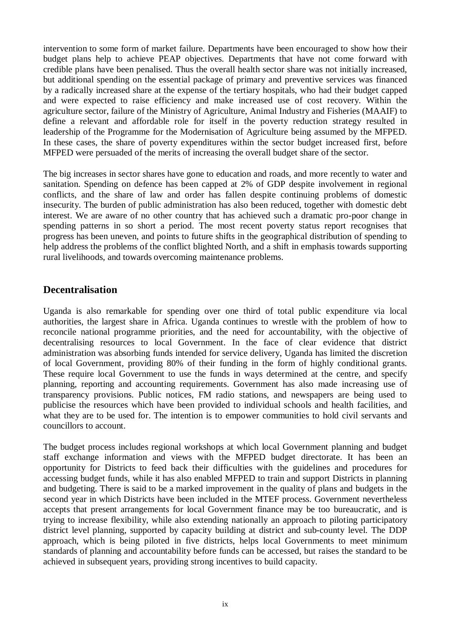intervention to some form of market failure. Departments have been encouraged to show how their budget plans help to achieve PEAP objectives. Departments that have not come forward with credible plans have been penalised. Thus the overall health sector share was not initially increased, but additional spending on the essential package of primary and preventive services was financed by a radically increased share at the expense of the tertiary hospitals, who had their budget capped and were expected to raise efficiency and make increased use of cost recovery. Within the agriculture sector, failure of the Ministry of Agriculture, Animal Industry and Fisheries (MAAIF) to define a relevant and affordable role for itself in the poverty reduction strategy resulted in leadership of the Programme for the Modernisation of Agriculture being assumed by the MFPED. In these cases, the share of poverty expenditures within the sector budget increased first, before MFPED were persuaded of the merits of increasing the overall budget share of the sector.

The big increases in sector shares have gone to education and roads, and more recently to water and sanitation. Spending on defence has been capped at 2% of GDP despite involvement in regional conflicts, and the share of law and order has fallen despite continuing problems of domestic insecurity. The burden of public administration has also been reduced, together with domestic debt interest. We are aware of no other country that has achieved such a dramatic pro-poor change in spending patterns in so short a period. The most recent poverty status report recognises that progress has been uneven, and points to future shifts in the geographical distribution of spending to help address the problems of the conflict blighted North, and a shift in emphasis towards supporting rural livelihoods, and towards overcoming maintenance problems.

## **Decentralisation**

Uganda is also remarkable for spending over one third of total public expenditure via local authorities, the largest share in Africa. Uganda continues to wrestle with the problem of how to reconcile national programme priorities, and the need for accountability, with the objective of decentralising resources to local Government. In the face of clear evidence that district administration was absorbing funds intended for service delivery, Uganda has limited the discretion of local Government, providing 80% of their funding in the form of highly conditional grants. These require local Government to use the funds in ways determined at the centre, and specify planning, reporting and accounting requirements. Government has also made increasing use of transparency provisions. Public notices, FM radio stations, and newspapers are being used to publicise the resources which have been provided to individual schools and health facilities, and what they are to be used for. The intention is to empower communities to hold civil servants and councillors to account.

The budget process includes regional workshops at which local Government planning and budget staff exchange information and views with the MFPED budget directorate. It has been an opportunity for Districts to feed back their difficulties with the guidelines and procedures for accessing budget funds, while it has also enabled MFPED to train and support Districts in planning and budgeting. There is said to be a marked improvement in the quality of plans and budgets in the second year in which Districts have been included in the MTEF process. Government nevertheless accepts that present arrangements for local Government finance may be too bureaucratic, and is trying to increase flexibility, while also extending nationally an approach to piloting participatory district level planning, supported by capacity building at district and sub-county level. The DDP approach, which is being piloted in five districts, helps local Governments to meet minimum standards of planning and accountability before funds can be accessed, but raises the standard to be achieved in subsequent years, providing strong incentives to build capacity.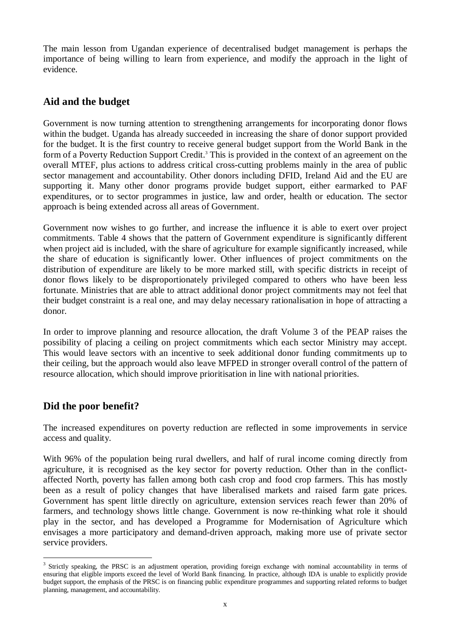The main lesson from Ugandan experience of decentralised budget management is perhaps the importance of being willing to learn from experience, and modify the approach in the light of evidence.

## **Aid and the budget**

Government is now turning attention to strengthening arrangements for incorporating donor flows within the budget. Uganda has already succeeded in increasing the share of donor support provided for the budget. It is the first country to receive general budget support from the World Bank in the form of a Poverty Reduction Support Credit.<sup>3</sup> This is provided in the context of an agreement on the overall MTEF, plus actions to address critical cross-cutting problems mainly in the area of public sector management and accountability. Other donors including DFID, Ireland Aid and the EU are supporting it. Many other donor programs provide budget support, either earmarked to PAF expenditures, or to sector programmes in justice, law and order, health or education. The sector approach is being extended across all areas of Government.

Government now wishes to go further, and increase the influence it is able to exert over project commitments. Table 4 shows that the pattern of Government expenditure is significantly different when project aid is included, with the share of agriculture for example significantly increased, while the share of education is significantly lower. Other influences of project commitments on the distribution of expenditure are likely to be more marked still, with specific districts in receipt of donor flows likely to be disproportionately privileged compared to others who have been less fortunate. Ministries that are able to attract additional donor project commitments may not feel that their budget constraint is a real one, and may delay necessary rationalisation in hope of attracting a donor.

In order to improve planning and resource allocation, the draft Volume 3 of the PEAP raises the possibility of placing a ceiling on project commitments which each sector Ministry may accept. This would leave sectors with an incentive to seek additional donor funding commitments up to their ceiling, but the approach would also leave MFPED in stronger overall control of the pattern of resource allocation, which should improve prioritisation in line with national priorities.

## **Did the poor benefit?**

The increased expenditures on poverty reduction are reflected in some improvements in service access and quality.

With 96% of the population being rural dwellers, and half of rural income coming directly from agriculture, it is recognised as the key sector for poverty reduction. Other than in the conflictaffected North, poverty has fallen among both cash crop and food crop farmers. This has mostly been as a result of policy changes that have liberalised markets and raised farm gate prices. Government has spent little directly on agriculture, extension services reach fewer than 20% of farmers, and technology shows little change. Government is now re-thinking what role it should play in the sector, and has developed a Programme for Modernisation of Agriculture which envisages a more participatory and demand-driven approach, making more use of private sector service providers.

<sup>&</sup>lt;sup>3</sup> Strictly speaking, the PRSC is an adjustment operation, providing foreign exchange with nominal accountability in terms of ensuring that eligible imports exceed the level of World Bank financing. In practice, although IDA is unable to explicitly provide budget support, the emphasis of the PRSC is on financing public expenditure programmes and supporting related reforms to budget planning, management, and accountability.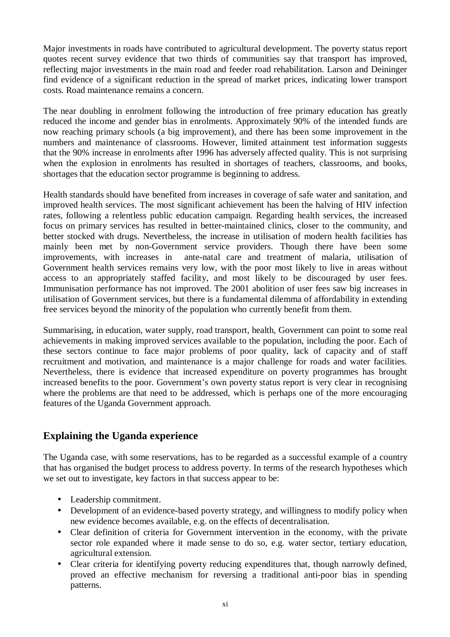Major investments in roads have contributed to agricultural development. The poverty status report quotes recent survey evidence that two thirds of communities say that transport has improved, reflecting major investments in the main road and feeder road rehabilitation. Larson and Deininger find evidence of a significant reduction in the spread of market prices, indicating lower transport costs. Road maintenance remains a concern.

The near doubling in enrolment following the introduction of free primary education has greatly reduced the income and gender bias in enrolments. Approximately 90% of the intended funds are now reaching primary schools (a big improvement), and there has been some improvement in the numbers and maintenance of classrooms. However, limited attainment test information suggests that the 90% increase in enrolments after 1996 has adversely affected quality. This is not surprising when the explosion in enrolments has resulted in shortages of teachers, classrooms, and books, shortages that the education sector programme is beginning to address.

Health standards should have benefited from increases in coverage of safe water and sanitation, and improved health services. The most significant achievement has been the halving of HIV infection rates, following a relentless public education campaign. Regarding health services, the increased focus on primary services has resulted in better-maintained clinics, closer to the community, and better stocked with drugs. Nevertheless, the increase in utilisation of modern health facilities has mainly been met by non-Government service providers. Though there have been some improvements, with increases in ante-natal care and treatment of malaria, utilisation of Government health services remains very low, with the poor most likely to live in areas without access to an appropriately staffed facility, and most likely to be discouraged by user fees. Immunisation performance has not improved. The 2001 abolition of user fees saw big increases in utilisation of Government services, but there is a fundamental dilemma of affordability in extending free services beyond the minority of the population who currently benefit from them.

Summarising, in education, water supply, road transport, health, Government can point to some real achievements in making improved services available to the population, including the poor. Each of these sectors continue to face major problems of poor quality, lack of capacity and of staff recruitment and motivation, and maintenance is a major challenge for roads and water facilities. Nevertheless, there is evidence that increased expenditure on poverty programmes has brought increased benefits to the poor. Government's own poverty status report is very clear in recognising where the problems are that need to be addressed, which is perhaps one of the more encouraging features of the Uganda Government approach.

## **Explaining the Uganda experience**

The Uganda case, with some reservations, has to be regarded as a successful example of a country that has organised the budget process to address poverty. In terms of the research hypotheses which we set out to investigate, key factors in that success appear to be:

- Leadership commitment.
- Development of an evidence-based poverty strategy, and willingness to modify policy when new evidence becomes available, e.g. on the effects of decentralisation.
- Clear definition of criteria for Government intervention in the economy, with the private sector role expanded where it made sense to do so, e.g. water sector, tertiary education, agricultural extension.
- Clear criteria for identifying poverty reducing expenditures that, though narrowly defined, proved an effective mechanism for reversing a traditional anti-poor bias in spending patterns.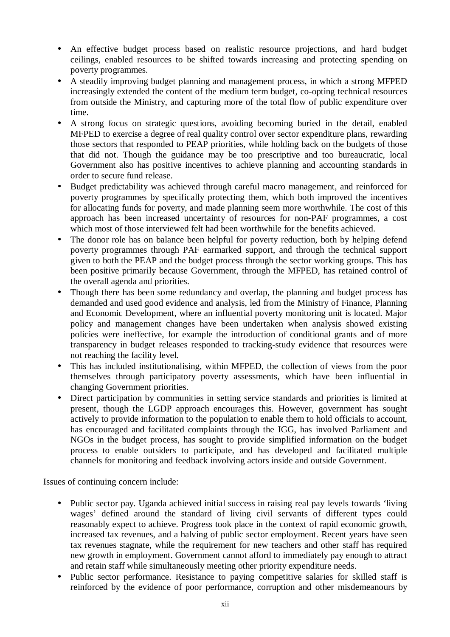- An effective budget process based on realistic resource projections, and hard budget ceilings, enabled resources to be shifted towards increasing and protecting spending on poverty programmes.
- A steadily improving budget planning and management process, in which a strong MFPED increasingly extended the content of the medium term budget, co-opting technical resources from outside the Ministry, and capturing more of the total flow of public expenditure over time.
- A strong focus on strategic questions, avoiding becoming buried in the detail, enabled MFPED to exercise a degree of real quality control over sector expenditure plans, rewarding those sectors that responded to PEAP priorities, while holding back on the budgets of those that did not. Though the guidance may be too prescriptive and too bureaucratic, local Government also has positive incentives to achieve planning and accounting standards in order to secure fund release.
- Budget predictability was achieved through careful macro management, and reinforced for poverty programmes by specifically protecting them, which both improved the incentives for allocating funds for poverty, and made planning seem more worthwhile. The cost of this approach has been increased uncertainty of resources for non-PAF programmes, a cost which most of those interviewed felt had been worthwhile for the benefits achieved.
- The donor role has on balance been helpful for poverty reduction, both by helping defend poverty programmes through PAF earmarked support, and through the technical support given to both the PEAP and the budget process through the sector working groups. This has been positive primarily because Government, through the MFPED, has retained control of the overall agenda and priorities.
- Though there has been some redundancy and overlap, the planning and budget process has demanded and used good evidence and analysis, led from the Ministry of Finance, Planning and Economic Development, where an influential poverty monitoring unit is located. Major policy and management changes have been undertaken when analysis showed existing policies were ineffective, for example the introduction of conditional grants and of more transparency in budget releases responded to tracking-study evidence that resources were not reaching the facility level.
- This has included institutionalising, within MFPED, the collection of views from the poor themselves through participatory poverty assessments, which have been influential in changing Government priorities.
- Direct participation by communities in setting service standards and priorities is limited at present, though the LGDP approach encourages this. However, government has sought actively to provide information to the population to enable them to hold officials to account, has encouraged and facilitated complaints through the IGG, has involved Parliament and NGOs in the budget process, has sought to provide simplified information on the budget process to enable outsiders to participate, and has developed and facilitated multiple channels for monitoring and feedback involving actors inside and outside Government.

Issues of continuing concern include:

- Public sector pay. Uganda achieved initial success in raising real pay levels towards 'living' wages' defined around the standard of living civil servants of different types could reasonably expect to achieve. Progress took place in the context of rapid economic growth, increased tax revenues, and a halving of public sector employment. Recent years have seen tax revenues stagnate, while the requirement for new teachers and other staff has required new growth in employment. Government cannot afford to immediately pay enough to attract and retain staff while simultaneously meeting other priority expenditure needs.
- Public sector performance. Resistance to paying competitive salaries for skilled staff is reinforced by the evidence of poor performance, corruption and other misdemeanours by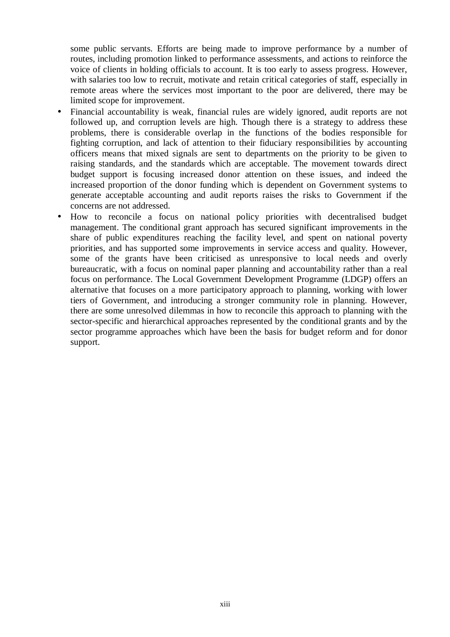some public servants. Efforts are being made to improve performance by a number of routes, including promotion linked to performance assessments, and actions to reinforce the voice of clients in holding officials to account. It is too early to assess progress. However, with salaries too low to recruit, motivate and retain critical categories of staff, especially in remote areas where the services most important to the poor are delivered, there may be limited scope for improvement.

- Financial accountability is weak, financial rules are widely ignored, audit reports are not followed up, and corruption levels are high. Though there is a strategy to address these problems, there is considerable overlap in the functions of the bodies responsible for fighting corruption, and lack of attention to their fiduciary responsibilities by accounting officers means that mixed signals are sent to departments on the priority to be given to raising standards, and the standards which are acceptable. The movement towards direct budget support is focusing increased donor attention on these issues, and indeed the increased proportion of the donor funding which is dependent on Government systems to generate acceptable accounting and audit reports raises the risks to Government if the concerns are not addressed.
- How to reconcile a focus on national policy priorities with decentralised budget management. The conditional grant approach has secured significant improvements in the share of public expenditures reaching the facility level, and spent on national poverty priorities, and has supported some improvements in service access and quality. However, some of the grants have been criticised as unresponsive to local needs and overly bureaucratic, with a focus on nominal paper planning and accountability rather than a real focus on performance. The Local Government Development Programme (LDGP) offers an alternative that focuses on a more participatory approach to planning, working with lower tiers of Government, and introducing a stronger community role in planning. However, there are some unresolved dilemmas in how to reconcile this approach to planning with the sector-specific and hierarchical approaches represented by the conditional grants and by the sector programme approaches which have been the basis for budget reform and for donor support.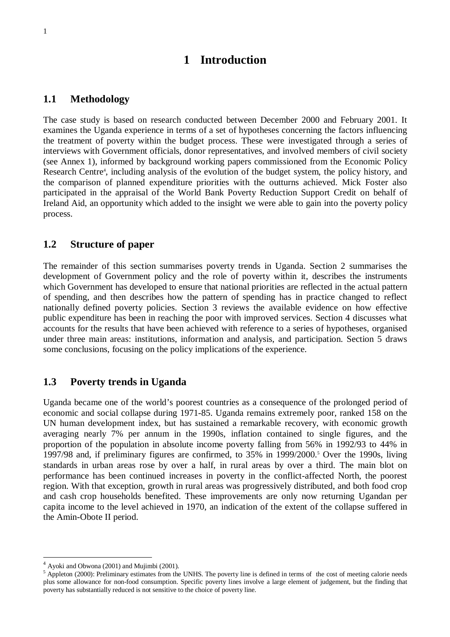## **1 Introduction**

#### **1.1 Methodology**

The case study is based on research conducted between December 2000 and February 2001. It examines the Uganda experience in terms of a set of hypotheses concerning the factors influencing the treatment of poverty within the budget process. These were investigated through a series of interviews with Government officials, donor representatives, and involved members of civil society (see Annex 1), informed by background working papers commissioned from the Economic Policy Research Centre<sup>4</sup>, including analysis of the evolution of the budget system, the policy history, and the comparison of planned expenditure priorities with the outturns achieved. Mick Foster also participated in the appraisal of the World Bank Poverty Reduction Support Credit on behalf of Ireland Aid, an opportunity which added to the insight we were able to gain into the poverty policy process.

#### **1.2 Structure of paper**

The remainder of this section summarises poverty trends in Uganda. Section 2 summarises the development of Government policy and the role of poverty within it, describes the instruments which Government has developed to ensure that national priorities are reflected in the actual pattern of spending, and then describes how the pattern of spending has in practice changed to reflect nationally defined poverty policies. Section 3 reviews the available evidence on how effective public expenditure has been in reaching the poor with improved services. Section 4 discusses what accounts for the results that have been achieved with reference to a series of hypotheses, organised under three main areas: institutions, information and analysis, and participation. Section 5 draws some conclusions, focusing on the policy implications of the experience.

#### **1.3 Poverty trends in Uganda**

Uganda became one of the world's poorest countries as a consequence of the prolonged period of economic and social collapse during 1971-85. Uganda remains extremely poor, ranked 158 on the UN human development index, but has sustained a remarkable recovery, with economic growth averaging nearly 7% per annum in the 1990s, inflation contained to single figures, and the proportion of the population in absolute income poverty falling from 56% in 1992/93 to 44% in 1997/98 and, if preliminary figures are confirmed, to 35% in 1999/2000.5 Over the 1990s, living standards in urban areas rose by over a half, in rural areas by over a third. The main blot on performance has been continued increases in poverty in the conflict-affected North, the poorest region. With that exception, growth in rural areas was progressively distributed, and both food crop and cash crop households benefited. These improvements are only now returning Ugandan per capita income to the level achieved in 1970, an indication of the extent of the collapse suffered in the Amin-Obote II period.

<sup>4</sup> Ayoki and Obwona (2001) and Mujimbi (2001).

 $<sup>5</sup>$  Appleton (2000): Preliminary estimates from the UNHS. The poverty line is defined in terms of the cost of meeting calorie needs</sup> plus some allowance for non-food consumption. Specific poverty lines involve a large element of judgement, but the finding that poverty has substantially reduced is not sensitive to the choice of poverty line.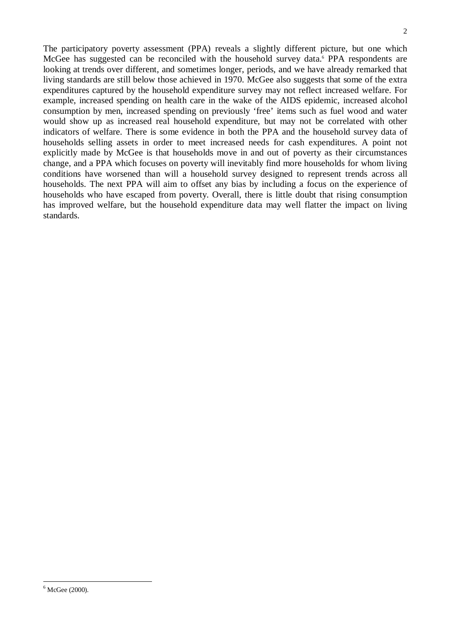The participatory poverty assessment (PPA) reveals a slightly different picture, but one which McGee has suggested can be reconciled with the household survey data.<sup>6</sup> PPA respondents are looking at trends over different, and sometimes longer, periods, and we have already remarked that living standards are still below those achieved in 1970. McGee also suggests that some of the extra expenditures captured by the household expenditure survey may not reflect increased welfare. For example, increased spending on health care in the wake of the AIDS epidemic, increased alcohol consumption by men, increased spending on previously 'free' items such as fuel wood and water would show up as increased real household expenditure, but may not be correlated with other indicators of welfare. There is some evidence in both the PPA and the household survey data of households selling assets in order to meet increased needs for cash expenditures. A point not explicitly made by McGee is that households move in and out of poverty as their circumstances change, and a PPA which focuses on poverty will inevitably find more households for whom living conditions have worsened than will a household survey designed to represent trends across all households. The next PPA will aim to offset any bias by including a focus on the experience of households who have escaped from poverty. Overall, there is little doubt that rising consumption has improved welfare, but the household expenditure data may well flatter the impact on living standards.

 $6$  McGee (2000).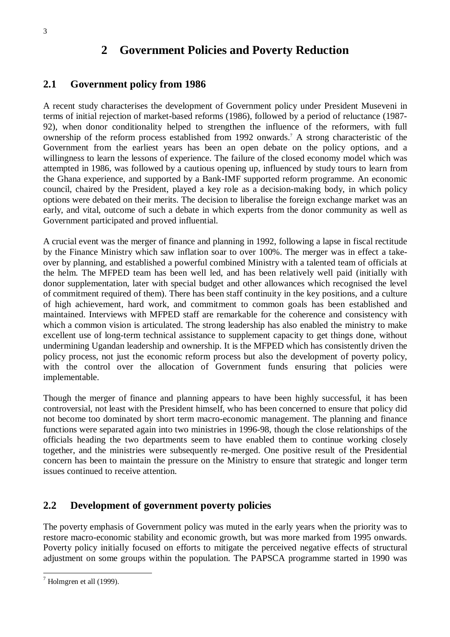#### 3

## **2 Government Policies and Poverty Reduction**

#### **2.1 Government policy from 1986**

A recent study characterises the development of Government policy under President Museveni in terms of initial rejection of market-based reforms (1986), followed by a period of reluctance (1987- 92), when donor conditionality helped to strengthen the influence of the reformers, with full ownership of the reform process established from 1992 onwards.7 A strong characteristic of the Government from the earliest years has been an open debate on the policy options, and a willingness to learn the lessons of experience. The failure of the closed economy model which was attempted in 1986, was followed by a cautious opening up, influenced by study tours to learn from the Ghana experience, and supported by a Bank-IMF supported reform programme. An economic council, chaired by the President, played a key role as a decision-making body, in which policy options were debated on their merits. The decision to liberalise the foreign exchange market was an early, and vital, outcome of such a debate in which experts from the donor community as well as Government participated and proved influential.

A crucial event was the merger of finance and planning in 1992, following a lapse in fiscal rectitude by the Finance Ministry which saw inflation soar to over 100%. The merger was in effect a takeover by planning, and established a powerful combined Ministry with a talented team of officials at the helm. The MFPED team has been well led, and has been relatively well paid (initially with donor supplementation, later with special budget and other allowances which recognised the level of commitment required of them). There has been staff continuity in the key positions, and a culture of high achievement, hard work, and commitment to common goals has been established and maintained. Interviews with MFPED staff are remarkable for the coherence and consistency with which a common vision is articulated. The strong leadership has also enabled the ministry to make excellent use of long-term technical assistance to supplement capacity to get things done, without undermining Ugandan leadership and ownership. It is the MFPED which has consistently driven the policy process, not just the economic reform process but also the development of poverty policy, with the control over the allocation of Government funds ensuring that policies were implementable.

Though the merger of finance and planning appears to have been highly successful, it has been controversial, not least with the President himself, who has been concerned to ensure that policy did not become too dominated by short term macro-economic management. The planning and finance functions were separated again into two ministries in 1996-98, though the close relationships of the officials heading the two departments seem to have enabled them to continue working closely together, and the ministries were subsequently re-merged. One positive result of the Presidential concern has been to maintain the pressure on the Ministry to ensure that strategic and longer term issues continued to receive attention.

## **2.2 Development of government poverty policies**

The poverty emphasis of Government policy was muted in the early years when the priority was to restore macro-economic stability and economic growth, but was more marked from 1995 onwards. Poverty policy initially focused on efforts to mitigate the perceived negative effects of structural adjustment on some groups within the population. The PAPSCA programme started in 1990 was

 $<sup>7</sup>$  Holmgren et all (1999).</sup>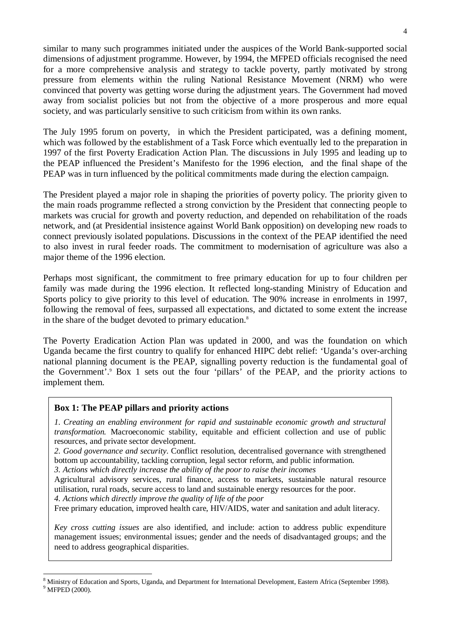similar to many such programmes initiated under the auspices of the World Bank-supported social dimensions of adjustment programme. However, by 1994, the MFPED officials recognised the need for a more comprehensive analysis and strategy to tackle poverty, partly motivated by strong pressure from elements within the ruling National Resistance Movement (NRM) who were convinced that poverty was getting worse during the adjustment years. The Government had moved away from socialist policies but not from the objective of a more prosperous and more equal society, and was particularly sensitive to such criticism from within its own ranks.

The July 1995 forum on poverty, in which the President participated, was a defining moment, which was followed by the establishment of a Task Force which eventually led to the preparation in 1997 of the first Poverty Eradication Action Plan. The discussions in July 1995 and leading up to the PEAP influenced the President's Manifesto for the 1996 election, and the final shape of the PEAP was in turn influenced by the political commitments made during the election campaign.

The President played a major role in shaping the priorities of poverty policy. The priority given to the main roads programme reflected a strong conviction by the President that connecting people to markets was crucial for growth and poverty reduction, and depended on rehabilitation of the roads network, and (at Presidential insistence against World Bank opposition) on developing new roads to connect previously isolated populations. Discussions in the context of the PEAP identified the need to also invest in rural feeder roads. The commitment to modernisation of agriculture was also a major theme of the 1996 election.

Perhaps most significant, the commitment to free primary education for up to four children per family was made during the 1996 election. It reflected long-standing Ministry of Education and Sports policy to give priority to this level of education. The 90% increase in enrolments in 1997, following the removal of fees, surpassed all expectations, and dictated to some extent the increase in the share of the budget devoted to primary education.<sup>8</sup>

The Poverty Eradication Action Plan was updated in 2000, and was the foundation on which Uganda became the first country to qualify for enhanced HIPC debt relief: 'Uganda's over-arching national planning document is the PEAP, signalling poverty reduction is the fundamental goal of the Government'.9 Box 1 sets out the four 'pillars' of the PEAP, and the priority actions to implement them.

#### **Box 1: The PEAP pillars and priority actions**

*1. Creating an enabling environment for rapid and sustainable economic growth and structural transformation.* Macroeconomic stability, equitable and efficient collection and use of public resources, and private sector development.

*2. Good governance and security*. Conflict resolution, decentralised governance with strengthened bottom up accountability, tackling corruption, legal sector reform, and public information.

*3. Actions which directly increase the ability of the poor to raise their incomes*

Agricultural advisory services, rural finance, access to markets, sustainable natural resource utilisation, rural roads, secure access to land and sustainable energy resources for the poor.

*4. Actions which directly improve the quality of life of the poor*

Free primary education, improved health care, HIV/AIDS, water and sanitation and adult literacy.

*Key cross cutting issues* are also identified, and include: action to address public expenditure management issues; environmental issues; gender and the needs of disadvantaged groups; and the need to address geographical disparities.

<sup>&</sup>lt;sup>8</sup> Ministry of Education and Sports, Uganda, and Department for International Development, Eastern Africa (September 1998).  $9$  MFPED (2000).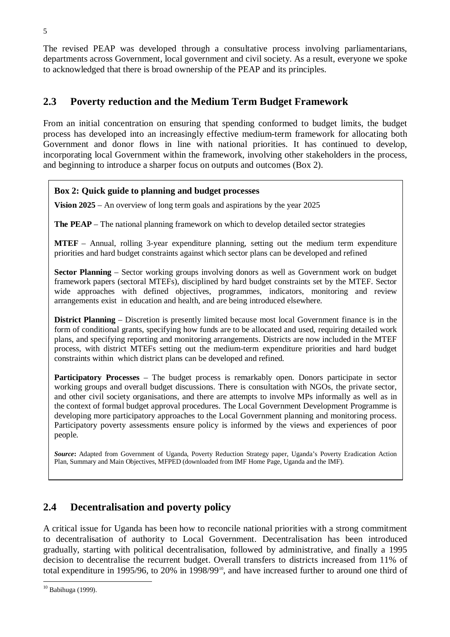The revised PEAP was developed through a consultative process involving parliamentarians, departments across Government, local government and civil society. As a result, everyone we spoke to acknowledged that there is broad ownership of the PEAP and its principles.

## **2.3 Poverty reduction and the Medium Term Budget Framework**

From an initial concentration on ensuring that spending conformed to budget limits, the budget process has developed into an increasingly effective medium-term framework for allocating both Government and donor flows in line with national priorities. It has continued to develop, incorporating local Government within the framework, involving other stakeholders in the process, and beginning to introduce a sharper focus on outputs and outcomes (Box 2).

#### **Box 2: Quick guide to planning and budget processes**

**Vision 2025** – An overview of long term goals and aspirations by the year 2025

**The PEAP** – The national planning framework on which to develop detailed sector strategies

**MTEF** – Annual, rolling 3-year expenditure planning, setting out the medium term expenditure priorities and hard budget constraints against which sector plans can be developed and refined

**Sector Planning** – Sector working groups involving donors as well as Government work on budget framework papers (sectoral MTEFs), disciplined by hard budget constraints set by the MTEF. Sector wide approaches with defined objectives, programmes, indicators, monitoring and review arrangements exist in education and health, and are being introduced elsewhere.

**District Planning** – Discretion is presently limited because most local Government finance is in the form of conditional grants, specifying how funds are to be allocated and used, requiring detailed work plans, and specifying reporting and monitoring arrangements. Districts are now included in the MTEF process, with district MTEFs setting out the medium-term expenditure priorities and hard budget constraints within which district plans can be developed and refined.

**Participatory Processes** – The budget process is remarkably open. Donors participate in sector working groups and overall budget discussions. There is consultation with NGOs, the private sector, and other civil society organisations, and there are attempts to involve MPs informally as well as in the context of formal budget approval procedures. The Local Government Development Programme is developing more participatory approaches to the Local Government planning and monitoring process. Participatory poverty assessments ensure policy is informed by the views and experiences of poor people.

*Source***:** Adapted from Government of Uganda, Poverty Reduction Strategy paper, Uganda's Poverty Eradication Action Plan, Summary and Main Objectives, MFPED (downloaded from IMF Home Page, Uganda and the IMF).

## **2.4 Decentralisation and poverty policy**

A critical issue for Uganda has been how to reconcile national priorities with a strong commitment to decentralisation of authority to Local Government. Decentralisation has been introduced gradually, starting with political decentralisation, followed by administrative, and finally a 1995 decision to decentralise the recurrent budget. Overall transfers to districts increased from 11% of total expenditure in 1995/96, to 20% in 1998/99<sup>10</sup>, and have increased further to around one third of

<sup>10</sup> Babihuga (1999).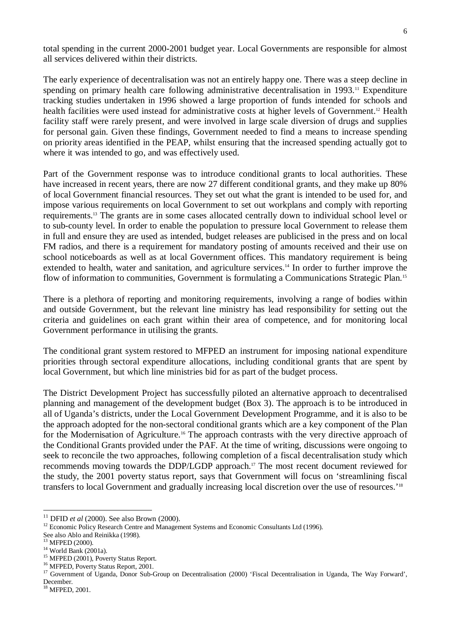total spending in the current 2000-2001 budget year. Local Governments are responsible for almost all services delivered within their districts.

The early experience of decentralisation was not an entirely happy one. There was a steep decline in spending on primary health care following administrative decentralisation in 1993.<sup>11</sup> Expenditure tracking studies undertaken in 1996 showed a large proportion of funds intended for schools and health facilities were used instead for administrative costs at higher levels of Government.<sup>12</sup> Health facility staff were rarely present, and were involved in large scale diversion of drugs and supplies for personal gain. Given these findings, Government needed to find a means to increase spending on priority areas identified in the PEAP, whilst ensuring that the increased spending actually got to where it was intended to go, and was effectively used.

Part of the Government response was to introduce conditional grants to local authorities. These have increased in recent years, there are now 27 different conditional grants, and they make up 80% of local Government financial resources. They set out what the grant is intended to be used for, and impose various requirements on local Government to set out workplans and comply with reporting requirements.13 The grants are in some cases allocated centrally down to individual school level or to sub-county level. In order to enable the population to pressure local Government to release them in full and ensure they are used as intended, budget releases are publicised in the press and on local FM radios, and there is a requirement for mandatory posting of amounts received and their use on school noticeboards as well as at local Government offices. This mandatory requirement is being extended to health, water and sanitation, and agriculture services.<sup>14</sup> In order to further improve the flow of information to communities, Government is formulating a Communications Strategic Plan.15

There is a plethora of reporting and monitoring requirements, involving a range of bodies within and outside Government, but the relevant line ministry has lead responsibility for setting out the criteria and guidelines on each grant within their area of competence, and for monitoring local Government performance in utilising the grants.

The conditional grant system restored to MFPED an instrument for imposing national expenditure priorities through sectoral expenditure allocations, including conditional grants that are spent by local Government, but which line ministries bid for as part of the budget process.

The District Development Project has successfully piloted an alternative approach to decentralised planning and management of the development budget (Box 3). The approach is to be introduced in all of Uganda's districts, under the Local Government Development Programme, and it is also to be the approach adopted for the non-sectoral conditional grants which are a key component of the Plan for the Modernisation of Agriculture.<sup>16</sup> The approach contrasts with the very directive approach of the Conditional Grants provided under the PAF. At the time of writing, discussions were ongoing to seek to reconcile the two approaches, following completion of a fiscal decentralisation study which recommends moving towards the DDP/LGDP approach.17 The most recent document reviewed for the study, the 2001 poverty status report, says that Government will focus on 'streamlining fiscal transfers to local Government and gradually increasing local discretion over the use of resources.'18

<sup>&</sup>lt;sup>11</sup> DFID *et al* (2000). See also Brown (2000).<br><sup>12</sup> Economic Policy Research Centre and Management Systems and Economic Consultants Ltd (1996).

See also Ablo and Reinikka (1998).<br><sup>13</sup> MFPED (2000).

<sup>&</sup>lt;sup>14</sup> World Bank (2001a).<br><sup>15</sup> MFPED (2001), Poverty Status Report.<br><sup>16</sup> MFPED, Poverty Status Report, 2001.<br><sup>17</sup> Government of Uganda, Donor Sub-Group on Decentralisation (2000) 'Fiscal Decentralisation in Uganda, The Way December.

<sup>&</sup>lt;sup>18</sup> MFPED, 2001.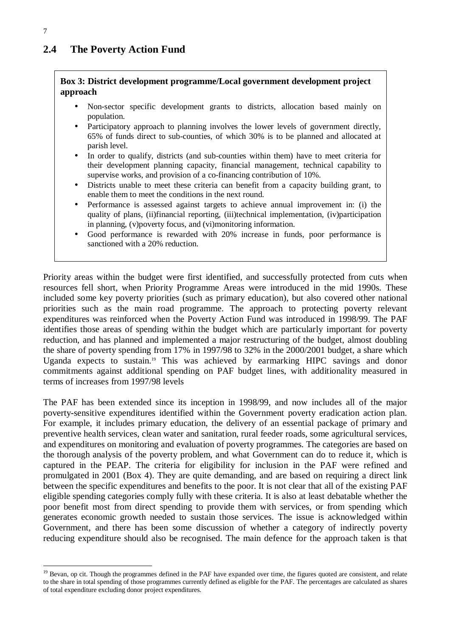## **2.4 The Poverty Action Fund**

#### **Box 3: District development programme/Local government development project approach**

- Non-sector specific development grants to districts, allocation based mainly on population.
- Participatory approach to planning involves the lower levels of government directly, 65% of funds direct to sub-counties, of which 30% is to be planned and allocated at parish level.
- In order to qualify, districts (and sub-counties within them) have to meet criteria for their development planning capacity, financial management, technical capability to supervise works, and provision of a co-financing contribution of 10%.
- Districts unable to meet these criteria can benefit from a capacity building grant, to enable them to meet the conditions in the next round.
- Performance is assessed against targets to achieve annual improvement in: (i) the quality of plans, (ii)financial reporting, (iii)technical implementation, (iv)participation in planning, (v)poverty focus, and (vi)monitoring information.
- Good performance is rewarded with 20% increase in funds, poor performance is sanctioned with a 20% reduction.

Priority areas within the budget were first identified, and successfully protected from cuts when resources fell short, when Priority Programme Areas were introduced in the mid 1990s. These included some key poverty priorities (such as primary education), but also covered other national priorities such as the main road programme. The approach to protecting poverty relevant expenditures was reinforced when the Poverty Action Fund was introduced in 1998/99. The PAF identifies those areas of spending within the budget which are particularly important for poverty reduction, and has planned and implemented a major restructuring of the budget, almost doubling the share of poverty spending from 17% in 1997/98 to 32% in the 2000/2001 budget, a share which Uganda expects to sustain.19 This was achieved by earmarking HIPC savings and donor commitments against additional spending on PAF budget lines, with additionality measured in terms of increases from 1997/98 levels

The PAF has been extended since its inception in 1998/99, and now includes all of the major poverty-sensitive expenditures identified within the Government poverty eradication action plan. For example, it includes primary education, the delivery of an essential package of primary and preventive health services, clean water and sanitation, rural feeder roads, some agricultural services, and expenditures on monitoring and evaluation of poverty programmes. The categories are based on the thorough analysis of the poverty problem, and what Government can do to reduce it, which is captured in the PEAP. The criteria for eligibility for inclusion in the PAF were refined and promulgated in 2001 (Box 4). They are quite demanding, and are based on requiring a direct link between the specific expenditures and benefits to the poor. It is not clear that all of the existing PAF eligible spending categories comply fully with these criteria. It is also at least debatable whether the poor benefit most from direct spending to provide them with services, or from spending which generates economic growth needed to sustain those services. The issue is acknowledged within Government, and there has been some discussion of whether a category of indirectly poverty reducing expenditure should also be recognised. The main defence for the approach taken is that

<sup>&</sup>lt;sup>19</sup> Bevan, op cit. Though the programmes defined in the PAF have expanded over time, the figures quoted are consistent, and relate to the share in total spending of those programmes currently defined as eligible for the PAF. The percentages are calculated as shares of total expenditure excluding donor project expenditures.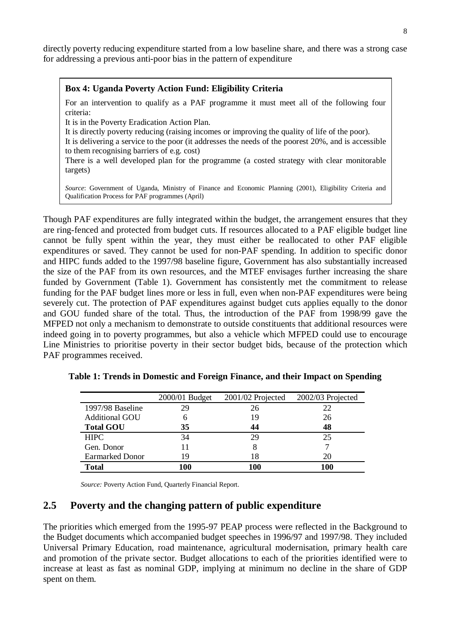directly poverty reducing expenditure started from a low baseline share, and there was a strong case for addressing a previous anti-poor bias in the pattern of expenditure

#### **Box 4: Uganda Poverty Action Fund: Eligibility Criteria**

For an intervention to qualify as a PAF programme it must meet all of the following four criteria:

It is in the Poverty Eradication Action Plan.

It is directly poverty reducing (raising incomes or improving the quality of life of the poor).

It is delivering a service to the poor (it addresses the needs of the poorest 20%, and is accessible to them recognising barriers of e.g. cost)

There is a well developed plan for the programme (a costed strategy with clear monitorable targets)

*Source*: Government of Uganda, Ministry of Finance and Economic Planning (2001), Eligibility Criteria and Qualification Process for PAF programmes (April)

Though PAF expenditures are fully integrated within the budget, the arrangement ensures that they are ring-fenced and protected from budget cuts. If resources allocated to a PAF eligible budget line cannot be fully spent within the year, they must either be reallocated to other PAF eligible expenditures or saved. They cannot be used for non-PAF spending. In addition to specific donor and HIPC funds added to the 1997/98 baseline figure, Government has also substantially increased the size of the PAF from its own resources, and the MTEF envisages further increasing the share funded by Government (Table 1). Government has consistently met the commitment to release funding for the PAF budget lines more or less in full, even when non-PAF expenditures were being severely cut. The protection of PAF expenditures against budget cuts applies equally to the donor and GOU funded share of the total. Thus, the introduction of the PAF from 1998/99 gave the MFPED not only a mechanism to demonstrate to outside constituents that additional resources were indeed going in to poverty programmes, but also a vehicle which MFPED could use to encourage Line Ministries to prioritise poverty in their sector budget bids, because of the protection which PAF programmes received.

|                        | 2000/01 Budget | 2001/02 Projected | 2002/03 Projected |
|------------------------|----------------|-------------------|-------------------|
| 1997/98 Baseline       | 29             | 26                | 22                |
| <b>Additional GOU</b>  |                | 19                | 26                |
| <b>Total GOU</b>       | 35             | 44                | 48                |
| <b>HIPC</b>            | 34             | 29                | 25                |
| Gen. Donor             |                |                   |                   |
| <b>Earmarked Donor</b> | 19             | 18                | 20                |
| <b>Total</b>           | .00            | 100               | 100               |

**Table 1: Trends in Domestic and Foreign Finance, and their Impact on Spending**

*Source:* Poverty Action Fund, Quarterly Financial Report.

#### **2.5 Poverty and the changing pattern of public expenditure**

The priorities which emerged from the 1995-97 PEAP process were reflected in the Background to the Budget documents which accompanied budget speeches in 1996/97 and 1997/98. They included Universal Primary Education, road maintenance, agricultural modernisation, primary health care and promotion of the private sector. Budget allocations to each of the priorities identified were to increase at least as fast as nominal GDP, implying at minimum no decline in the share of GDP spent on them.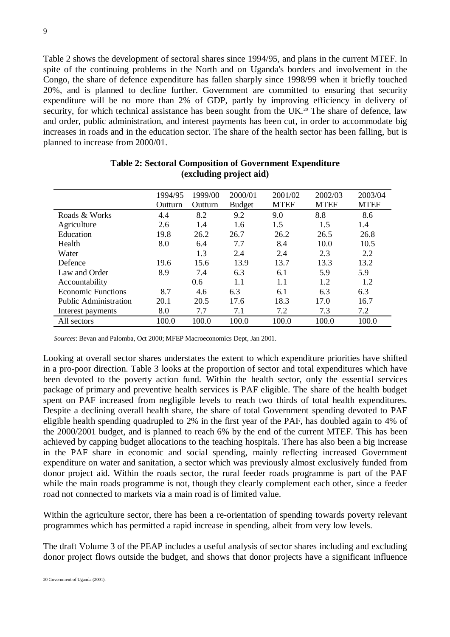Table 2 shows the development of sectoral shares since 1994/95, and plans in the current MTEF. In spite of the continuing problems in the North and on Uganda's borders and involvement in the Congo, the share of defence expenditure has fallen sharply since 1998/99 when it briefly touched 20%, and is planned to decline further. Government are committed to ensuring that security expenditure will be no more than 2% of GDP, partly by improving efficiency in delivery of security, for which technical assistance has been sought from the UK.<sup>20</sup> The share of defence, law and order, public administration, and interest payments has been cut, in order to accommodate big increases in roads and in the education sector. The share of the health sector has been falling, but is planned to increase from 2000/01.

|                           | 1994/95 | 1999/00 | 2000/01       | 2001/02     | 2002/03     | 2003/04     |
|---------------------------|---------|---------|---------------|-------------|-------------|-------------|
|                           | Outturn | Outturn | <b>Budget</b> | <b>MTEF</b> | <b>MTEF</b> | <b>MTEF</b> |
| Roads & Works             | 4.4     | 8.2     | 9.2           | 9.0         | 8.8         | 8.6         |
| Agriculture               | 2.6     | 1.4     | 1.6           | 1.5         | 1.5         | 1.4         |
| Education                 | 19.8    | 26.2    | 26.7          | 26.2        | 26.5        | 26.8        |
| Health                    | 8.0     | 6.4     | 7.7           | 8.4         | 10.0        | 10.5        |
| Water                     |         | 1.3     | 2.4           | 2.4         | 2.3         | 2.2         |
| Defence                   | 19.6    | 15.6    | 13.9          | 13.7        | 13.3        | 13.2        |
| Law and Order             | 8.9     | 7.4     | 6.3           | 6.1         | 5.9         | 5.9         |
| Accountability            |         | 0.6     | 1.1           | 1.1         | 1.2         | 1.2         |
| <b>Economic Functions</b> | 8.7     | 4.6     | 6.3           | 6.1         | 6.3         | 6.3         |
| Public Administration     | 20.1    | 20.5    | 17.6          | 18.3        | 17.0        | 16.7        |
| Interest payments         | 8.0     | 7.7     | 7.1           | 7.2         | 7.3         | 7.2         |
| All sectors               | 100.0   | 100.0   | 100.0         | 100.0       | 100.0       | 100.0       |

#### **Table 2: Sectoral Composition of Government Expenditure (excluding project aid)**

*Sources*: Bevan and Palomba, Oct 2000; MFEP Macroeconomics Dept, Jan 2001.

Looking at overall sector shares understates the extent to which expenditure priorities have shifted in a pro-poor direction. Table 3 looks at the proportion of sector and total expenditures which have been devoted to the poverty action fund. Within the health sector, only the essential services package of primary and preventive health services is PAF eligible. The share of the health budget spent on PAF increased from negligible levels to reach two thirds of total health expenditures. Despite a declining overall health share, the share of total Government spending devoted to PAF eligible health spending quadrupled to 2% in the first year of the PAF, has doubled again to 4% of the 2000/2001 budget, and is planned to reach 6% by the end of the current MTEF. This has been achieved by capping budget allocations to the teaching hospitals. There has also been a big increase in the PAF share in economic and social spending, mainly reflecting increased Government expenditure on water and sanitation, a sector which was previously almost exclusively funded from donor project aid. Within the roads sector, the rural feeder roads programme is part of the PAF while the main roads programme is not, though they clearly complement each other, since a feeder road not connected to markets via a main road is of limited value.

Within the agriculture sector, there has been a re-orientation of spending towards poverty relevant programmes which has permitted a rapid increase in spending, albeit from very low levels.

The draft Volume 3 of the PEAP includes a useful analysis of sector shares including and excluding donor project flows outside the budget, and shows that donor projects have a significant influence

20 Government of Uganda (2001).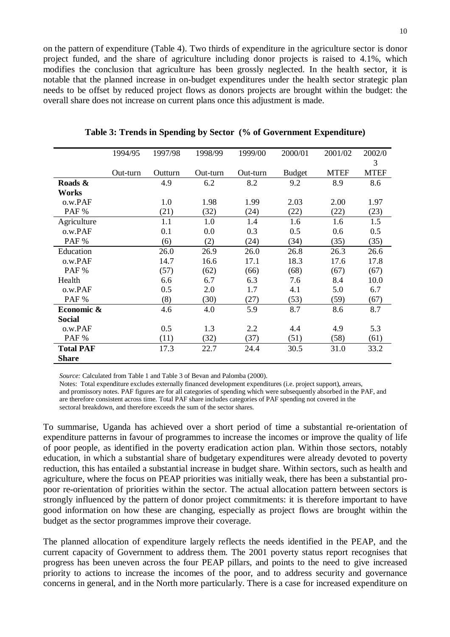on the pattern of expenditure (Table 4). Two thirds of expenditure in the agriculture sector is donor project funded, and the share of agriculture including donor projects is raised to 4.1%, which modifies the conclusion that agriculture has been grossly neglected. In the health sector, it is notable that the planned increase in on-budget expenditures under the health sector strategic plan needs to be offset by reduced project flows as donors projects are brought within the budget: the overall share does not increase on current plans once this adjustment is made.

|                  | 1994/95  | 1997/98 | 1998/99  | 1999/00  | 2000/01       | 2001/02     | 2002/0      |
|------------------|----------|---------|----------|----------|---------------|-------------|-------------|
|                  |          |         |          |          |               |             | 3           |
|                  | Out-turn | Outturn | Out-turn | Out-turn | <b>Budget</b> | <b>MTEF</b> | <b>MTEF</b> |
| Roads &          |          | 4.9     | 6.2      | 8.2      | 9.2           | 8.9         | 8.6         |
| Works            |          |         |          |          |               |             |             |
| o.w.PAF          |          | 1.0     | 1.98     | 1.99     | 2.03          | 2.00        | 1.97        |
| PAF %            |          | (21)    | (32)     | (24)     | (22)          | (22)        | (23)        |
| Agriculture      |          | 1.1     | 1.0      | 1.4      | 1.6           | 1.6         | 1.5         |
| o.w.PAF          |          | 0.1     | 0.0      | 0.3      | 0.5           | 0.6         | 0.5         |
| PAF %            |          | (6)     | (2)      | (24)     | (34)          | (35)        | (35)        |
| Education        |          | 26.0    | 26.9     | 26.0     | 26.8          | 26.3        | 26.6        |
| o.w.PAF          |          | 14.7    | 16.6     | 17.1     | 18.3          | 17.6        | 17.8        |
| PAF %            |          | (57)    | (62)     | (66)     | (68)          | (67)        | (67)        |
| Health           |          | 6.6     | 6.7      | 6.3      | 7.6           | 8.4         | 10.0        |
| o.w.PAF          |          | 0.5     | 2.0      | 1.7      | 4.1           | 5.0         | 6.7         |
| PAF %            |          | (8)     | (30)     | (27)     | (53)          | (59)        | (67)        |
| Economic &       |          | 4.6     | 4.0      | 5.9      | 8.7           | 8.6         | 8.7         |
| <b>Social</b>    |          |         |          |          |               |             |             |
| o.w.PAF          |          | 0.5     | 1.3      | 2.2      | 4.4           | 4.9         | 5.3         |
| PAF %            |          | (11)    | (32)     | (37)     | (51)          | (58)        | (61)        |
| <b>Total PAF</b> |          | 17.3    | 22.7     | 24.4     | 30.5          | 31.0        | 33.2        |
| <b>Share</b>     |          |         |          |          |               |             |             |

**Table 3: Trends in Spending by Sector (% of Government Expenditure)**

*Source:* Calculated from Table 1 and Table 3 of Bevan and Palomba (2000).

Notes: Total expenditure excludes externally financed development expenditures (i.e. project support), arrears, and promissory notes. PAF figures are for all categories of spending which were subsequently absorbed in the PAF, and are therefore consistent across time. Total PAF share includes categories of PAF spending not covered in the sectoral breakdown, and therefore exceeds the sum of the sector shares.

To summarise, Uganda has achieved over a short period of time a substantial re-orientation of expenditure patterns in favour of programmes to increase the incomes or improve the quality of life of poor people, as identified in the poverty eradication action plan. Within those sectors, notably education, in which a substantial share of budgetary expenditures were already devoted to poverty reduction, this has entailed a substantial increase in budget share. Within sectors, such as health and agriculture, where the focus on PEAP priorities was initially weak, there has been a substantial propoor re-orientation of priorities within the sector. The actual allocation pattern between sectors is strongly influenced by the pattern of donor project commitments: it is therefore important to have good information on how these are changing, especially as project flows are brought within the budget as the sector programmes improve their coverage.

The planned allocation of expenditure largely reflects the needs identified in the PEAP, and the current capacity of Government to address them. The 2001 poverty status report recognises that progress has been uneven across the four PEAP pillars, and points to the need to give increased priority to actions to increase the incomes of the poor, and to address security and governance concerns in general, and in the North more particularly. There is a case for increased expenditure on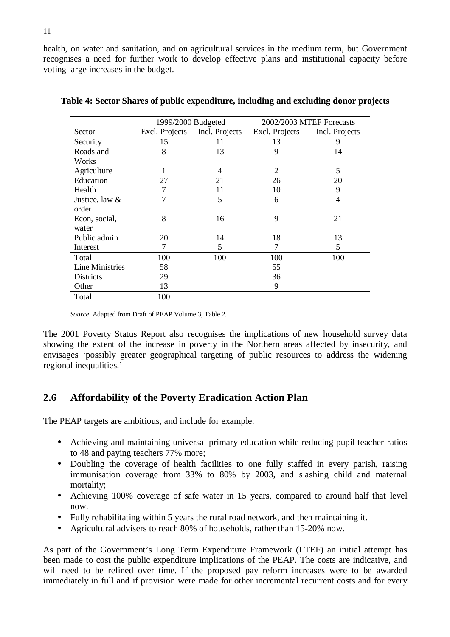health, on water and sanitation, and on agricultural services in the medium term, but Government recognises a need for further work to develop effective plans and institutional capacity before voting large increases in the budget.

|                        | 1999/2000 Budgeted |                | 2002/2003 MTEF Forecasts |                |  |
|------------------------|--------------------|----------------|--------------------------|----------------|--|
| Sector                 | Excl. Projects     | Incl. Projects | Excl. Projects           | Incl. Projects |  |
| Security               | 15                 | 11             | 13                       | 9              |  |
| Roads and              | 8                  | 13             | 9                        | 14             |  |
| Works                  |                    |                |                          |                |  |
| Agriculture            |                    | 4              | 2                        | 5              |  |
| Education              | 27                 | 21             | 26                       | 20             |  |
| Health                 |                    | 11             | 10                       | 9              |  |
| Justice, law &         |                    | 5              | 6                        | 4              |  |
| order                  |                    |                |                          |                |  |
| Econ, social,          | 8                  | 16             | 9                        | 21             |  |
| water                  |                    |                |                          |                |  |
| Public admin           | 20                 | 14             | 18                       | 13             |  |
| Interest               | 7                  | 5              | 7                        | 5              |  |
| Total                  | 100                | 100            | 100                      | 100            |  |
| <b>Line Ministries</b> | 58                 |                | 55                       |                |  |
| <b>Districts</b>       | 29                 |                | 36                       |                |  |
| Other                  | 13                 |                | 9                        |                |  |
| Total                  | 100                |                |                          |                |  |

|  |  | Table 4: Sector Shares of public expenditure, including and excluding donor projects |  |  |  |
|--|--|--------------------------------------------------------------------------------------|--|--|--|
|  |  |                                                                                      |  |  |  |

*Source*: Adapted from Draft of PEAP Volume 3, Table 2.

The 2001 Poverty Status Report also recognises the implications of new household survey data showing the extent of the increase in poverty in the Northern areas affected by insecurity, and envisages 'possibly greater geographical targeting of public resources to address the widening regional inequalities.'

## **2.6 Affordability of the Poverty Eradication Action Plan**

The PEAP targets are ambitious, and include for example:

- Achieving and maintaining universal primary education while reducing pupil teacher ratios to 48 and paying teachers 77% more;
- Doubling the coverage of health facilities to one fully staffed in every parish, raising immunisation coverage from 33% to 80% by 2003, and slashing child and maternal mortality;
- Achieving 100% coverage of safe water in 15 years, compared to around half that level now.
- Fully rehabilitating within 5 years the rural road network, and then maintaining it.
- Agricultural advisers to reach 80% of households, rather than 15-20% now.

As part of the Government's Long Term Expenditure Framework (LTEF) an initial attempt has been made to cost the public expenditure implications of the PEAP. The costs are indicative, and will need to be refined over time. If the proposed pay reform increases were to be awarded immediately in full and if provision were made for other incremental recurrent costs and for every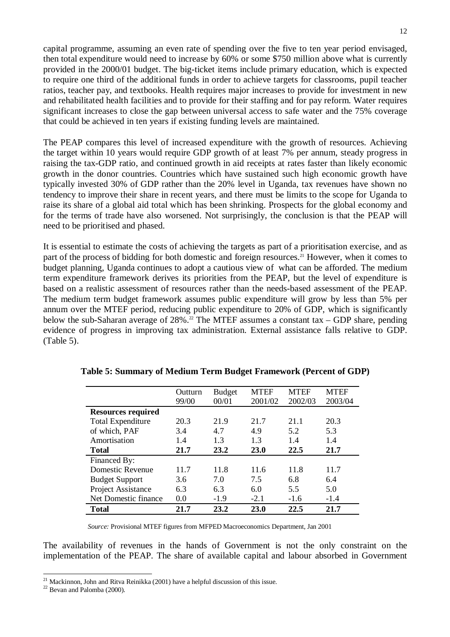capital programme, assuming an even rate of spending over the five to ten year period envisaged, then total expenditure would need to increase by 60% or some \$750 million above what is currently provided in the 2000/01 budget. The big-ticket items include primary education, which is expected to require one third of the additional funds in order to achieve targets for classrooms, pupil teacher ratios, teacher pay, and textbooks. Health requires major increases to provide for investment in new and rehabilitated health facilities and to provide for their staffing and for pay reform. Water requires significant increases to close the gap between universal access to safe water and the 75% coverage that could be achieved in ten years if existing funding levels are maintained.

The PEAP compares this level of increased expenditure with the growth of resources. Achieving the target within 10 years would require GDP growth of at least 7% per annum, steady progress in raising the tax-GDP ratio, and continued growth in aid receipts at rates faster than likely economic growth in the donor countries. Countries which have sustained such high economic growth have typically invested 30% of GDP rather than the 20% level in Uganda, tax revenues have shown no tendency to improve their share in recent years, and there must be limits to the scope for Uganda to raise its share of a global aid total which has been shrinking. Prospects for the global economy and for the terms of trade have also worsened. Not surprisingly, the conclusion is that the PEAP will need to be prioritised and phased.

It is essential to estimate the costs of achieving the targets as part of a prioritisation exercise, and as part of the process of bidding for both domestic and foreign resources.<sup>21</sup> However, when it comes to budget planning, Uganda continues to adopt a cautious view of what can be afforded. The medium term expenditure framework derives its priorities from the PEAP, but the level of expenditure is based on a realistic assessment of resources rather than the needs-based assessment of the PEAP. The medium term budget framework assumes public expenditure will grow by less than 5% per annum over the MTEF period, reducing public expenditure to 20% of GDP, which is significantly below the sub-Saharan average of 28%.<sup>22</sup> The MTEF assumes a constant tax – GDP share, pending evidence of progress in improving tax administration. External assistance falls relative to GDP. (Table 5).

|                           | Outturn | <b>Budget</b> | <b>MTEF</b> | <b>MTEF</b> | <b>MTEF</b> |
|---------------------------|---------|---------------|-------------|-------------|-------------|
|                           | 99/00   | 00/01         | 2001/02     | 2002/03     | 2003/04     |
| <b>Resources required</b> |         |               |             |             |             |
| <b>Total Expenditure</b>  | 20.3    | 21.9          | 21.7        | 21.1        | 20.3        |
| of which, PAF             | 3.4     | 4.7           | 4.9         | 5.2         | 5.3         |
| Amortisation              | 1.4     | 1.3           | 1.3         | 1.4         | 1.4         |
| Total                     | 21.7    | 23.2          | <b>23.0</b> | 22.5        | 21.7        |
| Financed By:              |         |               |             |             |             |
| Domestic Revenue          | 11.7    | 11.8          | 11.6        | 11.8        | 11.7        |
| <b>Budget Support</b>     | 3.6     | 7.0           | 7.5         | 6.8         | 6.4         |
| Project Assistance        | 6.3     | 6.3           | 6.0         | 5.5         | 5.0         |
| Net Domestic finance      | 0.0     | $-1.9$        | $-2.1$      | $-1.6$      | $-1.4$      |
| <b>Total</b>              | 21.7    | 23.2          | 23.0        | 22.5        | 21.7        |

**Table 5: Summary of Medium Term Budget Framework (Percent of GDP)**

*Source:* Provisional MTEF figures from MFPED Macroeconomics Department, Jan 2001

The availability of revenues in the hands of Government is not the only constraint on the implementation of the PEAP. The share of available capital and labour absorbed in Government

<sup>&</sup>lt;sup>21</sup> Mackinnon, John and Ritva Reinikka (2001) have a helpful discussion of this issue. <sup>22</sup> Bevan and Palomba (2000).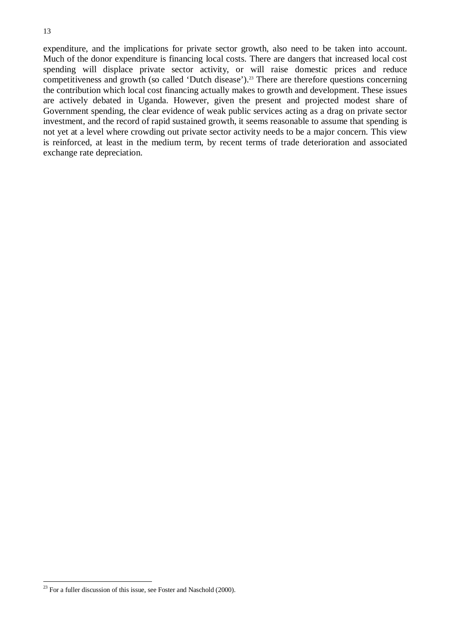expenditure, and the implications for private sector growth, also need to be taken into account. Much of the donor expenditure is financing local costs. There are dangers that increased local cost spending will displace private sector activity, or will raise domestic prices and reduce competitiveness and growth (so called 'Dutch disease').<sup>23</sup> There are therefore questions concerning the contribution which local cost financing actually makes to growth and development. These issues are actively debated in Uganda. However, given the present and projected modest share of Government spending, the clear evidence of weak public services acting as a drag on private sector investment, and the record of rapid sustained growth, it seems reasonable to assume that spending is not yet at a level where crowding out private sector activity needs to be a major concern. This view is reinforced, at least in the medium term, by recent terms of trade deterioration and associated exchange rate depreciation.

 $23$  For a fuller discussion of this issue, see Foster and Naschold (2000).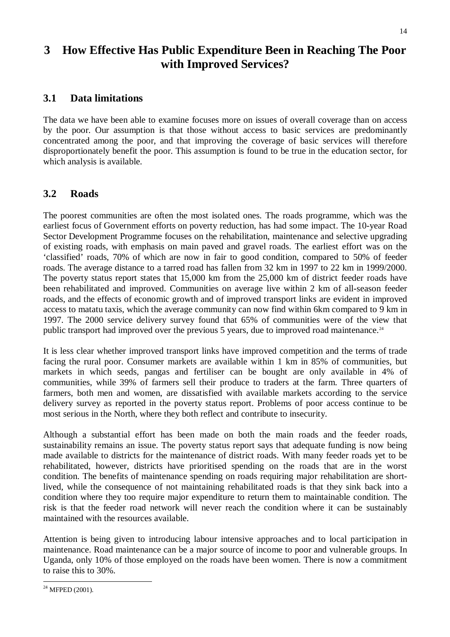## **3 How Effective Has Public Expenditure Been in Reaching The Poor with Improved Services?**

## **3.1 Data limitations**

The data we have been able to examine focuses more on issues of overall coverage than on access by the poor. Our assumption is that those without access to basic services are predominantly concentrated among the poor, and that improving the coverage of basic services will therefore disproportionately benefit the poor. This assumption is found to be true in the education sector, for which analysis is available.

## **3.2 Roads**

The poorest communities are often the most isolated ones. The roads programme, which was the earliest focus of Government efforts on poverty reduction, has had some impact. The 10-year Road Sector Development Programme focuses on the rehabilitation, maintenance and selective upgrading of existing roads, with emphasis on main paved and gravel roads. The earliest effort was on the 'classified' roads, 70% of which are now in fair to good condition, compared to 50% of feeder roads. The average distance to a tarred road has fallen from 32 km in 1997 to 22 km in 1999/2000. The poverty status report states that 15,000 km from the 25,000 km of district feeder roads have been rehabilitated and improved. Communities on average live within 2 km of all-season feeder roads, and the effects of economic growth and of improved transport links are evident in improved access to matatu taxis, which the average community can now find within 6km compared to 9 km in 1997. The 2000 service delivery survey found that 65% of communities were of the view that public transport had improved over the previous 5 years, due to improved road maintenance.<sup>24</sup>

It is less clear whether improved transport links have improved competition and the terms of trade facing the rural poor. Consumer markets are available within 1 km in 85% of communities, but markets in which seeds, pangas and fertiliser can be bought are only available in 4% of communities, while 39% of farmers sell their produce to traders at the farm. Three quarters of farmers, both men and women, are dissatisfied with available markets according to the service delivery survey as reported in the poverty status report. Problems of poor access continue to be most serious in the North, where they both reflect and contribute to insecurity.

Although a substantial effort has been made on both the main roads and the feeder roads, sustainability remains an issue. The poverty status report says that adequate funding is now being made available to districts for the maintenance of district roads. With many feeder roads yet to be rehabilitated, however, districts have prioritised spending on the roads that are in the worst condition. The benefits of maintenance spending on roads requiring major rehabilitation are shortlived, while the consequence of not maintaining rehabilitated roads is that they sink back into a condition where they too require major expenditure to return them to maintainable condition. The risk is that the feeder road network will never reach the condition where it can be sustainably maintained with the resources available.

Attention is being given to introducing labour intensive approaches and to local participation in maintenance. Road maintenance can be a major source of income to poor and vulnerable groups. In Uganda, only 10% of those employed on the roads have been women. There is now a commitment to raise this to 30%.

 $24$  MFPED (2001).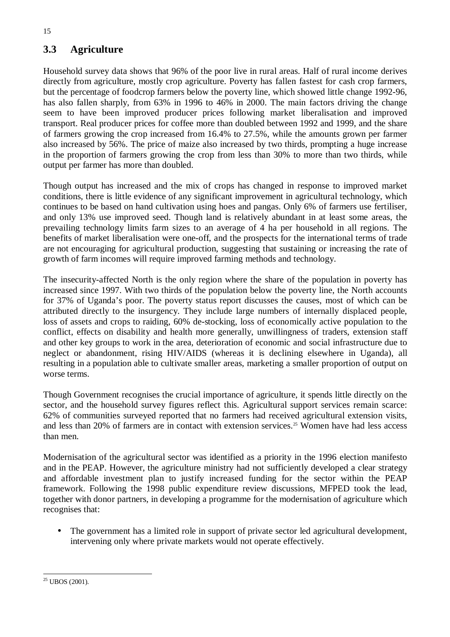## **3.3 Agriculture**

Household survey data shows that 96% of the poor live in rural areas. Half of rural income derives directly from agriculture, mostly crop agriculture. Poverty has fallen fastest for cash crop farmers, but the percentage of foodcrop farmers below the poverty line, which showed little change 1992-96, has also fallen sharply, from 63% in 1996 to 46% in 2000. The main factors driving the change seem to have been improved producer prices following market liberalisation and improved transport. Real producer prices for coffee more than doubled between 1992 and 1999, and the share of farmers growing the crop increased from 16.4% to 27.5%, while the amounts grown per farmer also increased by 56%. The price of maize also increased by two thirds, prompting a huge increase in the proportion of farmers growing the crop from less than 30% to more than two thirds, while output per farmer has more than doubled.

Though output has increased and the mix of crops has changed in response to improved market conditions, there is little evidence of any significant improvement in agricultural technology, which continues to be based on hand cultivation using hoes and pangas. Only 6% of farmers use fertiliser, and only 13% use improved seed. Though land is relatively abundant in at least some areas, the prevailing technology limits farm sizes to an average of 4 ha per household in all regions. The benefits of market liberalisation were one-off, and the prospects for the international terms of trade are not encouraging for agricultural production, suggesting that sustaining or increasing the rate of growth of farm incomes will require improved farming methods and technology.

The insecurity-affected North is the only region where the share of the population in poverty has increased since 1997. With two thirds of the population below the poverty line, the North accounts for 37% of Uganda's poor. The poverty status report discusses the causes, most of which can be attributed directly to the insurgency. They include large numbers of internally displaced people, loss of assets and crops to raiding, 60% de-stocking, loss of economically active population to the conflict, effects on disability and health more generally, unwillingness of traders, extension staff and other key groups to work in the area, deterioration of economic and social infrastructure due to neglect or abandonment, rising HIV/AIDS (whereas it is declining elsewhere in Uganda), all resulting in a population able to cultivate smaller areas, marketing a smaller proportion of output on worse terms.

Though Government recognises the crucial importance of agriculture, it spends little directly on the sector, and the household survey figures reflect this. Agricultural support services remain scarce: 62% of communities surveyed reported that no farmers had received agricultural extension visits, and less than 20% of farmers are in contact with extension services.<sup>25</sup> Women have had less access than men.

Modernisation of the agricultural sector was identified as a priority in the 1996 election manifesto and in the PEAP. However, the agriculture ministry had not sufficiently developed a clear strategy and affordable investment plan to justify increased funding for the sector within the PEAP framework. Following the 1998 public expenditure review discussions, MFPED took the lead, together with donor partners, in developing a programme for the modernisation of agriculture which recognises that:

• The government has a limited role in support of private sector led agricultural development, intervening only where private markets would not operate effectively.

 $25$  UBOS (2001).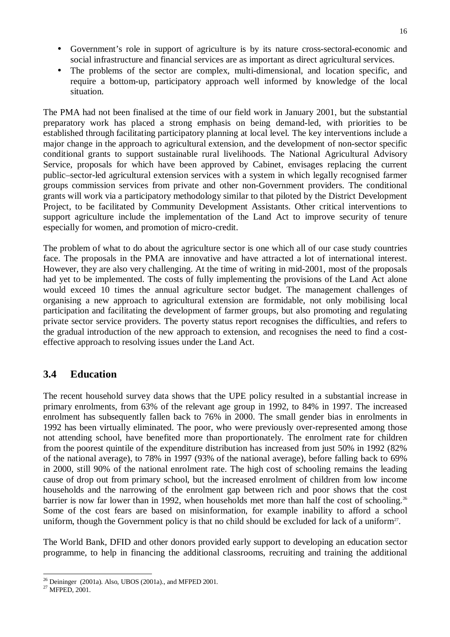- Government's role in support of agriculture is by its nature cross-sectoral-economic and social infrastructure and financial services are as important as direct agricultural services.
- The problems of the sector are complex, multi-dimensional, and location specific, and require a bottom-up, participatory approach well informed by knowledge of the local situation.

The PMA had not been finalised at the time of our field work in January 2001, but the substantial preparatory work has placed a strong emphasis on being demand-led, with priorities to be established through facilitating participatory planning at local level. The key interventions include a major change in the approach to agricultural extension, and the development of non-sector specific conditional grants to support sustainable rural livelihoods. The National Agricultural Advisory Service, proposals for which have been approved by Cabinet, envisages replacing the current public–sector-led agricultural extension services with a system in which legally recognised farmer groups commission services from private and other non-Government providers. The conditional grants will work via a participatory methodology similar to that piloted by the District Development Project, to be facilitated by Community Development Assistants. Other critical interventions to support agriculture include the implementation of the Land Act to improve security of tenure especially for women, and promotion of micro-credit.

The problem of what to do about the agriculture sector is one which all of our case study countries face. The proposals in the PMA are innovative and have attracted a lot of international interest. However, they are also very challenging. At the time of writing in mid-2001, most of the proposals had yet to be implemented. The costs of fully implementing the provisions of the Land Act alone would exceed 10 times the annual agriculture sector budget. The management challenges of organising a new approach to agricultural extension are formidable, not only mobilising local participation and facilitating the development of farmer groups, but also promoting and regulating private sector service providers. The poverty status report recognises the difficulties, and refers to the gradual introduction of the new approach to extension, and recognises the need to find a costeffective approach to resolving issues under the Land Act.

## **3.4 Education**

The recent household survey data shows that the UPE policy resulted in a substantial increase in primary enrolments, from 63% of the relevant age group in 1992, to 84% in 1997. The increased enrolment has subsequently fallen back to 76% in 2000. The small gender bias in enrolments in 1992 has been virtually eliminated. The poor, who were previously over-represented among those not attending school, have benefited more than proportionately. The enrolment rate for children from the poorest quintile of the expenditure distribution has increased from just 50% in 1992 (82% of the national average), to 78% in 1997 (93% of the national average), before falling back to 69% in 2000, still 90% of the national enrolment rate. The high cost of schooling remains the leading cause of drop out from primary school, but the increased enrolment of children from low income households and the narrowing of the enrolment gap between rich and poor shows that the cost barrier is now far lower than in 1992, when households met more than half the cost of schooling.<sup>26</sup> Some of the cost fears are based on misinformation, for example inability to afford a school uniform, though the Government policy is that no child should be excluded for lack of a uniform $27$ .

The World Bank, DFID and other donors provided early support to developing an education sector programme, to help in financing the additional classrooms, recruiting and training the additional

<sup>&</sup>lt;sup>26</sup> Deininger (2001a). Also, UBOS (2001a)., and MFPED 2001.<br><sup>27</sup> MFPED. 2001.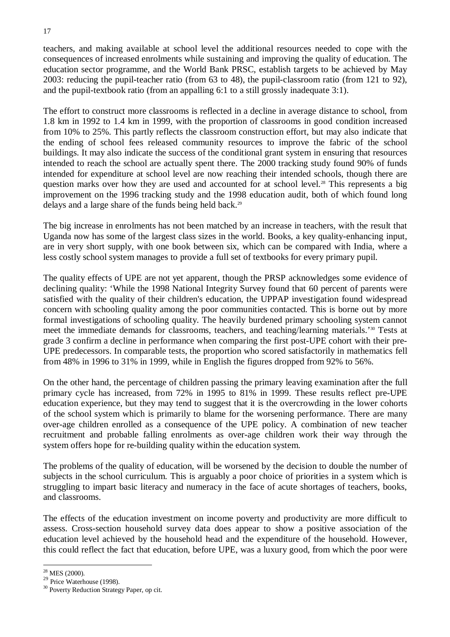teachers, and making available at school level the additional resources needed to cope with the consequences of increased enrolments while sustaining and improving the quality of education. The education sector programme, and the World Bank PRSC, establish targets to be achieved by May 2003: reducing the pupil-teacher ratio (from 63 to 48), the pupil-classroom ratio (from 121 to 92), and the pupil-textbook ratio (from an appalling 6:1 to a still grossly inadequate 3:1).

The effort to construct more classrooms is reflected in a decline in average distance to school, from 1.8 km in 1992 to 1.4 km in 1999, with the proportion of classrooms in good condition increased from 10% to 25%. This partly reflects the classroom construction effort, but may also indicate that the ending of school fees released community resources to improve the fabric of the school buildings. It may also indicate the success of the conditional grant system in ensuring that resources intended to reach the school are actually spent there. The 2000 tracking study found 90% of funds intended for expenditure at school level are now reaching their intended schools, though there are question marks over how they are used and accounted for at school level.<sup>28</sup> This represents a big improvement on the 1996 tracking study and the 1998 education audit, both of which found long delays and a large share of the funds being held back.<sup>29</sup>

The big increase in enrolments has not been matched by an increase in teachers, with the result that Uganda now has some of the largest class sizes in the world. Books, a key quality-enhancing input, are in very short supply, with one book between six, which can be compared with India, where a less costly school system manages to provide a full set of textbooks for every primary pupil.

The quality effects of UPE are not yet apparent, though the PRSP acknowledges some evidence of declining quality: 'While the 1998 National Integrity Survey found that 60 percent of parents were satisfied with the quality of their children's education, the UPPAP investigation found widespread concern with schooling quality among the poor communities contacted. This is borne out by more formal investigations of schooling quality. The heavily burdened primary schooling system cannot meet the immediate demands for classrooms, teachers, and teaching/learning materials.'30 Tests at grade 3 confirm a decline in performance when comparing the first post-UPE cohort with their pre-UPE predecessors. In comparable tests, the proportion who scored satisfactorily in mathematics fell from 48% in 1996 to 31% in 1999, while in English the figures dropped from 92% to 56%.

On the other hand, the percentage of children passing the primary leaving examination after the full primary cycle has increased, from 72% in 1995 to 81% in 1999. These results reflect pre-UPE education experience, but they may tend to suggest that it is the overcrowding in the lower cohorts of the school system which is primarily to blame for the worsening performance. There are many over-age children enrolled as a consequence of the UPE policy. A combination of new teacher recruitment and probable falling enrolments as over-age children work their way through the system offers hope for re-building quality within the education system.

The problems of the quality of education, will be worsened by the decision to double the number of subjects in the school curriculum. This is arguably a poor choice of priorities in a system which is struggling to impart basic literacy and numeracy in the face of acute shortages of teachers, books, and classrooms.

The effects of the education investment on income poverty and productivity are more difficult to assess. Cross-section household survey data does appear to show a positive association of the education level achieved by the household head and the expenditure of the household. However, this could reflect the fact that education, before UPE, was a luxury good, from which the poor were

<sup>&</sup>lt;sup>28</sup> MES (2000).

<sup>&</sup>lt;sup>29</sup> Price Waterhouse (1998).

<sup>&</sup>lt;sup>30</sup> Poverty Reduction Strategy Paper, op cit.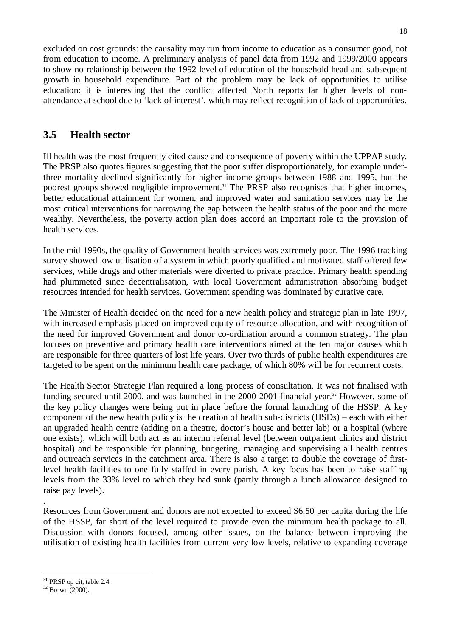excluded on cost grounds: the causality may run from income to education as a consumer good, not from education to income. A preliminary analysis of panel data from 1992 and 1999/2000 appears to show no relationship between the 1992 level of education of the household head and subsequent growth in household expenditure. Part of the problem may be lack of opportunities to utilise education: it is interesting that the conflict affected North reports far higher levels of nonattendance at school due to 'lack of interest', which may reflect recognition of lack of opportunities.

## **3.5 Health sector**

Ill health was the most frequently cited cause and consequence of poverty within the UPPAP study. The PRSP also quotes figures suggesting that the poor suffer disproportionately, for example underthree mortality declined significantly for higher income groups between 1988 and 1995, but the poorest groups showed negligible improvement.<sup>31</sup> The PRSP also recognises that higher incomes, better educational attainment for women, and improved water and sanitation services may be the most critical interventions for narrowing the gap between the health status of the poor and the more wealthy. Nevertheless, the poverty action plan does accord an important role to the provision of health services.

In the mid-1990s, the quality of Government health services was extremely poor. The 1996 tracking survey showed low utilisation of a system in which poorly qualified and motivated staff offered few services, while drugs and other materials were diverted to private practice. Primary health spending had plummeted since decentralisation, with local Government administration absorbing budget resources intended for health services. Government spending was dominated by curative care.

The Minister of Health decided on the need for a new health policy and strategic plan in late 1997, with increased emphasis placed on improved equity of resource allocation, and with recognition of the need for improved Government and donor co-ordination around a common strategy. The plan focuses on preventive and primary health care interventions aimed at the ten major causes which are responsible for three quarters of lost life years. Over two thirds of public health expenditures are targeted to be spent on the minimum health care package, of which 80% will be for recurrent costs.

The Health Sector Strategic Plan required a long process of consultation. It was not finalised with funding secured until 2000, and was launched in the 2000-2001 financial year.<sup>32</sup> However, some of the key policy changes were being put in place before the formal launching of the HSSP. A key component of the new health policy is the creation of health sub-districts (HSDs) – each with either an upgraded health centre (adding on a theatre, doctor's house and better lab) or a hospital (where one exists), which will both act as an interim referral level (between outpatient clinics and district hospital) and be responsible for planning, budgeting, managing and supervising all health centres and outreach services in the catchment area. There is also a target to double the coverage of firstlevel health facilities to one fully staffed in every parish. A key focus has been to raise staffing levels from the 33% level to which they had sunk (partly through a lunch allowance designed to raise pay levels).

Resources from Government and donors are not expected to exceed \$6.50 per capita during the life of the HSSP, far short of the level required to provide even the minimum health package to all. Discussion with donors focused, among other issues, on the balance between improving the utilisation of existing health facilities from current very low levels, relative to expanding coverage

.

<sup>&</sup>lt;sup>31</sup> PRSP op cit, table 2.4.<br><sup>32</sup> Brown (2000).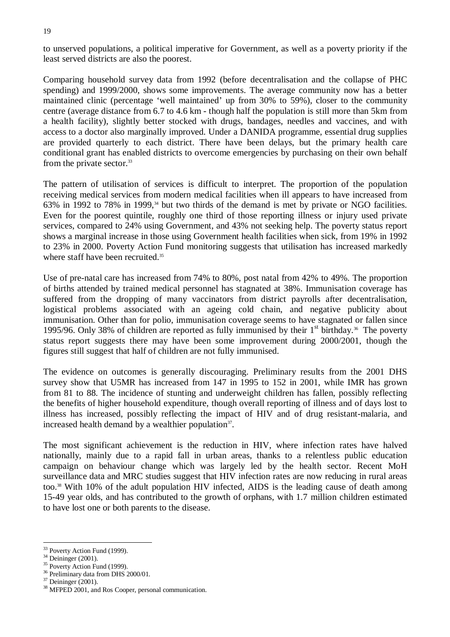to unserved populations, a political imperative for Government, as well as a poverty priority if the least served districts are also the poorest.

Comparing household survey data from 1992 (before decentralisation and the collapse of PHC spending) and 1999/2000, shows some improvements. The average community now has a better maintained clinic (percentage 'well maintained' up from 30% to 59%), closer to the community centre (average distance from 6.7 to 4.6 km - though half the population is still more than 5km from a health facility), slightly better stocked with drugs, bandages, needles and vaccines, and with access to a doctor also marginally improved. Under a DANIDA programme, essential drug supplies are provided quarterly to each district. There have been delays, but the primary health care conditional grant has enabled districts to overcome emergencies by purchasing on their own behalf from the private sector.<sup>33</sup>

The pattern of utilisation of services is difficult to interpret. The proportion of the population receiving medical services from modern medical facilities when ill appears to have increased from 63% in 1992 to 78% in 1999,<sup>34</sup> but two thirds of the demand is met by private or NGO facilities. Even for the poorest quintile, roughly one third of those reporting illness or injury used private services, compared to 24% using Government, and 43% not seeking help. The poverty status report shows a marginal increase in those using Government health facilities when sick, from 19% in 1992 to 23% in 2000. Poverty Action Fund monitoring suggests that utilisation has increased markedly where staff have been recruited.<sup>35</sup>

Use of pre-natal care has increased from 74% to 80%, post natal from 42% to 49%. The proportion of births attended by trained medical personnel has stagnated at 38%. Immunisation coverage has suffered from the dropping of many vaccinators from district payrolls after decentralisation, logistical problems associated with an ageing cold chain, and negative publicity about immunisation. Other than for polio, immunisation coverage seems to have stagnated or fallen since 1995/96. Only 38% of children are reported as fully immunised by their  $1<sup>st</sup>$  birthday.<sup>36</sup> The poverty status report suggests there may have been some improvement during 2000/2001, though the figures still suggest that half of children are not fully immunised.

The evidence on outcomes is generally discouraging. Preliminary results from the 2001 DHS survey show that U5MR has increased from 147 in 1995 to 152 in 2001, while IMR has grown from 81 to 88. The incidence of stunting and underweight children has fallen, possibly reflecting the benefits of higher household expenditure, though overall reporting of illness and of days lost to illness has increased, possibly reflecting the impact of HIV and of drug resistant-malaria, and increased health demand by a wealthier population<sup>37</sup>.

The most significant achievement is the reduction in HIV, where infection rates have halved nationally, mainly due to a rapid fall in urban areas, thanks to a relentless public education campaign on behaviour change which was largely led by the health sector. Recent MoH surveillance data and MRC studies suggest that HIV infection rates are now reducing in rural areas too.38 With 10% of the adult population HIV infected, AIDS is the leading cause of death among 15-49 year olds, and has contributed to the growth of orphans, with 1.7 million children estimated to have lost one or both parents to the disease.

<sup>&</sup>lt;sup>33</sup> Poverty Action Fund (1999).<br><sup>35</sup> Poverty Action Fund (1999).<br><sup>36</sup> Preliminary data from DHS 2000/01.<br><sup>37</sup> Deininger (2001).<br><sup>38</sup> MFPED 2001, and Ros Cooper, personal communication.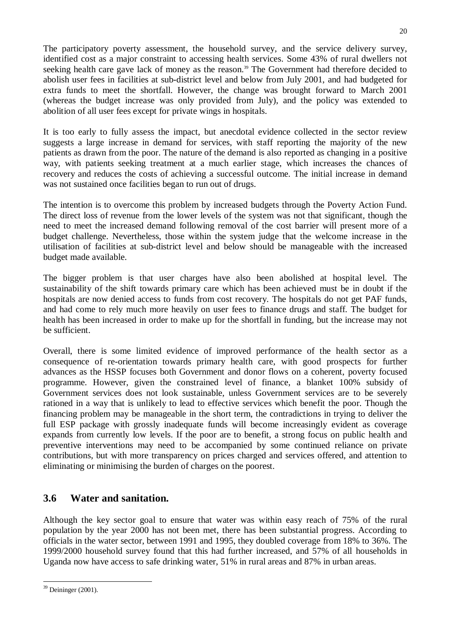The participatory poverty assessment, the household survey, and the service delivery survey, identified cost as a major constraint to accessing health services. Some 43% of rural dwellers not seeking health care gave lack of money as the reason.<sup>39</sup> The Government had therefore decided to abolish user fees in facilities at sub-district level and below from July 2001, and had budgeted for extra funds to meet the shortfall. However, the change was brought forward to March 2001 (whereas the budget increase was only provided from July), and the policy was extended to abolition of all user fees except for private wings in hospitals.

It is too early to fully assess the impact, but anecdotal evidence collected in the sector review suggests a large increase in demand for services, with staff reporting the majority of the new patients as drawn from the poor. The nature of the demand is also reported as changing in a positive way, with patients seeking treatment at a much earlier stage, which increases the chances of recovery and reduces the costs of achieving a successful outcome. The initial increase in demand was not sustained once facilities began to run out of drugs.

The intention is to overcome this problem by increased budgets through the Poverty Action Fund. The direct loss of revenue from the lower levels of the system was not that significant, though the need to meet the increased demand following removal of the cost barrier will present more of a budget challenge. Nevertheless, those within the system judge that the welcome increase in the utilisation of facilities at sub-district level and below should be manageable with the increased budget made available.

The bigger problem is that user charges have also been abolished at hospital level. The sustainability of the shift towards primary care which has been achieved must be in doubt if the hospitals are now denied access to funds from cost recovery. The hospitals do not get PAF funds, and had come to rely much more heavily on user fees to finance drugs and staff. The budget for health has been increased in order to make up for the shortfall in funding, but the increase may not be sufficient.

Overall, there is some limited evidence of improved performance of the health sector as a consequence of re-orientation towards primary health care, with good prospects for further advances as the HSSP focuses both Government and donor flows on a coherent, poverty focused programme. However, given the constrained level of finance, a blanket 100% subsidy of Government services does not look sustainable, unless Government services are to be severely rationed in a way that is unlikely to lead to effective services which benefit the poor. Though the financing problem may be manageable in the short term, the contradictions in trying to deliver the full ESP package with grossly inadequate funds will become increasingly evident as coverage expands from currently low levels. If the poor are to benefit, a strong focus on public health and preventive interventions may need to be accompanied by some continued reliance on private contributions, but with more transparency on prices charged and services offered, and attention to eliminating or minimising the burden of charges on the poorest.

## **3.6 Water and sanitation.**

Although the key sector goal to ensure that water was within easy reach of 75% of the rural population by the year 2000 has not been met, there has been substantial progress. According to officials in the water sector, between 1991 and 1995, they doubled coverage from 18% to 36%. The 1999/2000 household survey found that this had further increased, and 57% of all households in Uganda now have access to safe drinking water, 51% in rural areas and 87% in urban areas.

 $39$  Deininger (2001).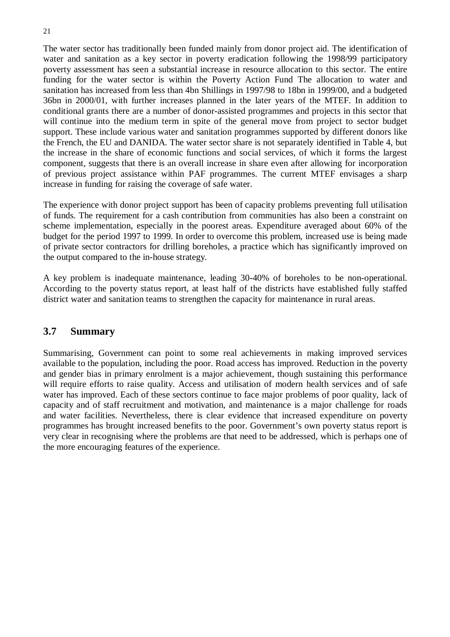The water sector has traditionally been funded mainly from donor project aid. The identification of water and sanitation as a key sector in poverty eradication following the 1998/99 participatory poverty assessment has seen a substantial increase in resource allocation to this sector. The entire funding for the water sector is within the Poverty Action Fund The allocation to water and sanitation has increased from less than 4bn Shillings in 1997/98 to 18bn in 1999/00, and a budgeted 36bn in 2000/01, with further increases planned in the later years of the MTEF. In addition to conditional grants there are a number of donor-assisted programmes and projects in this sector that will continue into the medium term in spite of the general move from project to sector budget support. These include various water and sanitation programmes supported by different donors like the French, the EU and DANIDA. The water sector share is not separately identified in Table 4, but the increase in the share of economic functions and social services, of which it forms the largest component, suggests that there is an overall increase in share even after allowing for incorporation of previous project assistance within PAF programmes. The current MTEF envisages a sharp increase in funding for raising the coverage of safe water.

The experience with donor project support has been of capacity problems preventing full utilisation of funds. The requirement for a cash contribution from communities has also been a constraint on scheme implementation, especially in the poorest areas. Expenditure averaged about 60% of the budget for the period 1997 to 1999. In order to overcome this problem, increased use is being made of private sector contractors for drilling boreholes, a practice which has significantly improved on the output compared to the in-house strategy.

A key problem is inadequate maintenance, leading 30-40% of boreholes to be non-operational. According to the poverty status report, at least half of the districts have established fully staffed district water and sanitation teams to strengthen the capacity for maintenance in rural areas.

## **3.7 Summary**

Summarising, Government can point to some real achievements in making improved services available to the population, including the poor. Road access has improved. Reduction in the poverty and gender bias in primary enrolment is a major achievement, though sustaining this performance will require efforts to raise quality. Access and utilisation of modern health services and of safe water has improved. Each of these sectors continue to face major problems of poor quality, lack of capacity and of staff recruitment and motivation, and maintenance is a major challenge for roads and water facilities. Nevertheless, there is clear evidence that increased expenditure on poverty programmes has brought increased benefits to the poor. Government's own poverty status report is very clear in recognising where the problems are that need to be addressed, which is perhaps one of the more encouraging features of the experience.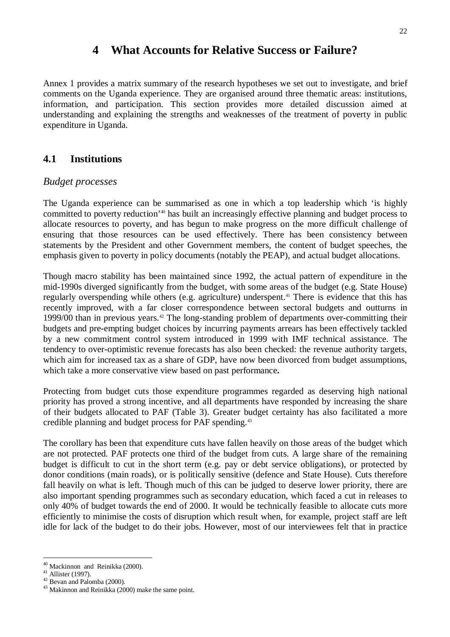## **4 What Accounts for Relative Success or Failure?**

Annex 1 provides a matrix summary of the research hypotheses we set out to investigate, and brief comments on the Uganda experience. They are organised around three thematic areas: institutions, information, and participation. This section provides more detailed discussion aimed at understanding and explaining the strengths and weaknesses of the treatment of poverty in public expenditure in Uganda.

## **4.1 Institutions**

#### *Budget processes*

The Uganda experience can be summarised as one in which a top leadership which 'is highly committed to poverty reduction'40 has built an increasingly effective planning and budget process to allocate resources to poverty, and has begun to make progress on the more difficult challenge of ensuring that those resources can be used effectively. There has been consistency between statements by the President and other Government members, the content of budget speeches, the emphasis given to poverty in policy documents (notably the PEAP), and actual budget allocations.

Though macro stability has been maintained since 1992, the actual pattern of expenditure in the mid-1990s diverged significantly from the budget, with some areas of the budget (e.g. State House) regularly overspending while others (e.g. agriculture) underspent.<sup>41</sup> There is evidence that this has recently improved, with a far closer correspondence between sectoral budgets and outturns in 1999/00 than in previous years.<sup> $42$ </sup> The long-standing problem of departments over-committing their budgets and pre-empting budget choices by incurring payments arrears has been effectively tackled by a new commitment control system introduced in 1999 with IMF technical assistance. The tendency to over-optimistic revenue forecasts has also been checked: the revenue authority targets, which aim for increased tax as a share of GDP, have now been divorced from budget assumptions, which take a more conservative view based on past performance**.**

Protecting from budget cuts those expenditure programmes regarded as deserving high national priority has proved a strong incentive, and all departments have responded by increasing the share of their budgets allocated to PAF (Table 3). Greater budget certainty has also facilitated a more credible planning and budget process for PAF spending.43

The corollary has been that expenditure cuts have fallen heavily on those areas of the budget which are not protected. PAF protects one third of the budget from cuts. A large share of the remaining budget is difficult to cut in the short term (e.g. pay or debt service obligations), or protected by donor conditions (main roads), or is politically sensitive (defence and State House). Cuts therefore fall heavily on what is left. Though much of this can be judged to deserve lower priority, there are also important spending programmes such as secondary education, which faced a cut in releases to only 40% of budget towards the end of 2000. It would be technically feasible to allocate cuts more efficiently to minimise the costs of disruption which result when, for example, project staff are left idle for lack of the budget to do their jobs. However, most of our interviewees felt that in practice

<sup>&</sup>lt;sup>40</sup> Mackinnon and Reinikka (2000).<br><sup>41</sup> Allister (1997).<br><sup>42</sup> Bevan and Palomba (2000).<br><sup>43</sup> Makinnon and Reinikka (2000) make the same point.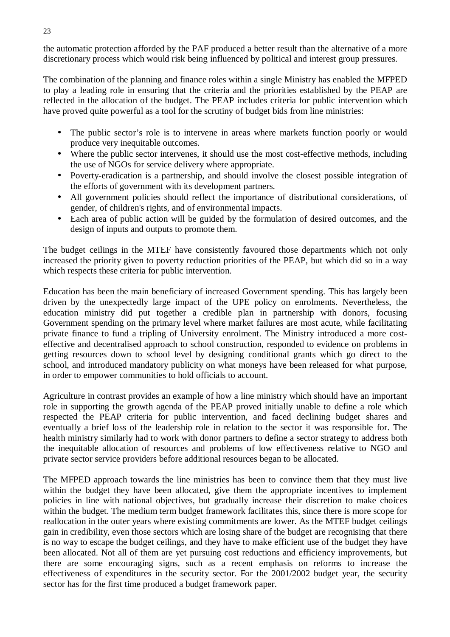the automatic protection afforded by the PAF produced a better result than the alternative of a more discretionary process which would risk being influenced by political and interest group pressures.

The combination of the planning and finance roles within a single Ministry has enabled the MFPED to play a leading role in ensuring that the criteria and the priorities established by the PEAP are reflected in the allocation of the budget. The PEAP includes criteria for public intervention which have proved quite powerful as a tool for the scrutiny of budget bids from line ministries:

- The public sector's role is to intervene in areas where markets function poorly or would produce very inequitable outcomes.
- Where the public sector intervenes, it should use the most cost-effective methods, including the use of NGOs for service delivery where appropriate.
- Poverty-eradication is a partnership, and should involve the closest possible integration of the efforts of government with its development partners.
- All government policies should reflect the importance of distributional considerations, of gender, of children's rights, and of environmental impacts.
- Each area of public action will be guided by the formulation of desired outcomes, and the design of inputs and outputs to promote them.

The budget ceilings in the MTEF have consistently favoured those departments which not only increased the priority given to poverty reduction priorities of the PEAP, but which did so in a way which respects these criteria for public intervention.

Education has been the main beneficiary of increased Government spending. This has largely been driven by the unexpectedly large impact of the UPE policy on enrolments. Nevertheless, the education ministry did put together a credible plan in partnership with donors, focusing Government spending on the primary level where market failures are most acute, while facilitating private finance to fund a tripling of University enrolment. The Ministry introduced a more costeffective and decentralised approach to school construction, responded to evidence on problems in getting resources down to school level by designing conditional grants which go direct to the school, and introduced mandatory publicity on what moneys have been released for what purpose, in order to empower communities to hold officials to account.

Agriculture in contrast provides an example of how a line ministry which should have an important role in supporting the growth agenda of the PEAP proved initially unable to define a role which respected the PEAP criteria for public intervention, and faced declining budget shares and eventually a brief loss of the leadership role in relation to the sector it was responsible for. The health ministry similarly had to work with donor partners to define a sector strategy to address both the inequitable allocation of resources and problems of low effectiveness relative to NGO and private sector service providers before additional resources began to be allocated.

The MFPED approach towards the line ministries has been to convince them that they must live within the budget they have been allocated, give them the appropriate incentives to implement policies in line with national objectives, but gradually increase their discretion to make choices within the budget. The medium term budget framework facilitates this, since there is more scope for reallocation in the outer years where existing commitments are lower. As the MTEF budget ceilings gain in credibility, even those sectors which are losing share of the budget are recognising that there is no way to escape the budget ceilings, and they have to make efficient use of the budget they have been allocated. Not all of them are yet pursuing cost reductions and efficiency improvements, but there are some encouraging signs, such as a recent emphasis on reforms to increase the effectiveness of expenditures in the security sector. For the 2001/2002 budget year, the security sector has for the first time produced a budget framework paper.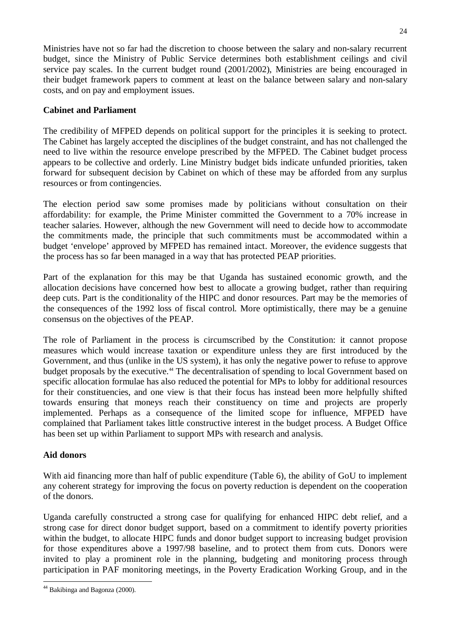Ministries have not so far had the discretion to choose between the salary and non-salary recurrent budget, since the Ministry of Public Service determines both establishment ceilings and civil service pay scales. In the current budget round (2001/2002), Ministries are being encouraged in their budget framework papers to comment at least on the balance between salary and non-salary costs, and on pay and employment issues.

#### **Cabinet and Parliament**

The credibility of MFPED depends on political support for the principles it is seeking to protect. The Cabinet has largely accepted the disciplines of the budget constraint, and has not challenged the need to live within the resource envelope prescribed by the MFPED. The Cabinet budget process appears to be collective and orderly. Line Ministry budget bids indicate unfunded priorities, taken forward for subsequent decision by Cabinet on which of these may be afforded from any surplus resources or from contingencies.

The election period saw some promises made by politicians without consultation on their affordability: for example, the Prime Minister committed the Government to a 70% increase in teacher salaries. However, although the new Government will need to decide how to accommodate the commitments made, the principle that such commitments must be accommodated within a budget 'envelope' approved by MFPED has remained intact. Moreover, the evidence suggests that the process has so far been managed in a way that has protected PEAP priorities.

Part of the explanation for this may be that Uganda has sustained economic growth, and the allocation decisions have concerned how best to allocate a growing budget, rather than requiring deep cuts. Part is the conditionality of the HIPC and donor resources. Part may be the memories of the consequences of the 1992 loss of fiscal control. More optimistically, there may be a genuine consensus on the objectives of the PEAP.

The role of Parliament in the process is circumscribed by the Constitution: it cannot propose measures which would increase taxation or expenditure unless they are first introduced by the Government, and thus (unlike in the US system), it has only the negative power to refuse to approve budget proposals by the executive.<sup>44</sup> The decentralisation of spending to local Government based on specific allocation formulae has also reduced the potential for MPs to lobby for additional resources for their constituencies, and one view is that their focus has instead been more helpfully shifted towards ensuring that moneys reach their constituency on time and projects are properly implemented. Perhaps as a consequence of the limited scope for influence, MFPED have complained that Parliament takes little constructive interest in the budget process. A Budget Office has been set up within Parliament to support MPs with research and analysis.

#### **Aid donors**

With aid financing more than half of public expenditure (Table 6), the ability of GoU to implement any coherent strategy for improving the focus on poverty reduction is dependent on the cooperation of the donors.

Uganda carefully constructed a strong case for qualifying for enhanced HIPC debt relief, and a strong case for direct donor budget support, based on a commitment to identify poverty priorities within the budget, to allocate HIPC funds and donor budget support to increasing budget provision for those expenditures above a 1997/98 baseline, and to protect them from cuts. Donors were invited to play a prominent role in the planning, budgeting and monitoring process through participation in PAF monitoring meetings, in the Poverty Eradication Working Group, and in the

<sup>44</sup> Bakibinga and Bagonza (2000).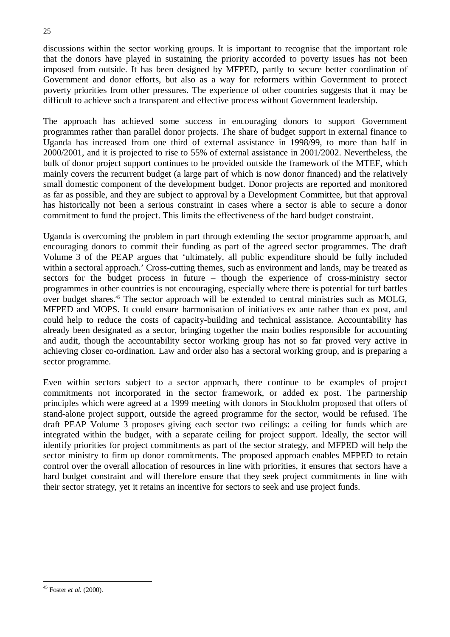discussions within the sector working groups. It is important to recognise that the important role that the donors have played in sustaining the priority accorded to poverty issues has not been imposed from outside. It has been designed by MFPED, partly to secure better coordination of Government and donor efforts, but also as a way for reformers within Government to protect poverty priorities from other pressures. The experience of other countries suggests that it may be difficult to achieve such a transparent and effective process without Government leadership.

The approach has achieved some success in encouraging donors to support Government programmes rather than parallel donor projects. The share of budget support in external finance to Uganda has increased from one third of external assistance in 1998/99, to more than half in 2000/2001, and it is projected to rise to 55% of external assistance in 2001/2002. Nevertheless, the bulk of donor project support continues to be provided outside the framework of the MTEF, which mainly covers the recurrent budget (a large part of which is now donor financed) and the relatively small domestic component of the development budget. Donor projects are reported and monitored as far as possible, and they are subject to approval by a Development Committee, but that approval has historically not been a serious constraint in cases where a sector is able to secure a donor commitment to fund the project. This limits the effectiveness of the hard budget constraint.

Uganda is overcoming the problem in part through extending the sector programme approach, and encouraging donors to commit their funding as part of the agreed sector programmes. The draft Volume 3 of the PEAP argues that 'ultimately, all public expenditure should be fully included within a sectoral approach.' Cross-cutting themes, such as environment and lands, may be treated as sectors for the budget process in future – though the experience of cross-ministry sector programmes in other countries is not encouraging, especially where there is potential for turf battles over budget shares.45 The sector approach will be extended to central ministries such as MOLG, MFPED and MOPS. It could ensure harmonisation of initiatives ex ante rather than ex post, and could help to reduce the costs of capacity-building and technical assistance. Accountability has already been designated as a sector, bringing together the main bodies responsible for accounting and audit, though the accountability sector working group has not so far proved very active in achieving closer co-ordination. Law and order also has a sectoral working group, and is preparing a sector programme.

Even within sectors subject to a sector approach, there continue to be examples of project commitments not incorporated in the sector framework, or added ex post. The partnership principles which were agreed at a 1999 meeting with donors in Stockholm proposed that offers of stand-alone project support, outside the agreed programme for the sector, would be refused. The draft PEAP Volume 3 proposes giving each sector two ceilings: a ceiling for funds which are integrated within the budget, with a separate ceiling for project support. Ideally, the sector will identify priorities for project commitments as part of the sector strategy, and MFPED will help the sector ministry to firm up donor commitments. The proposed approach enables MFPED to retain control over the overall allocation of resources in line with priorities, it ensures that sectors have a hard budget constraint and will therefore ensure that they seek project commitments in line with their sector strategy, yet it retains an incentive for sectors to seek and use project funds.

<sup>45</sup> Foster *et al.* (2000).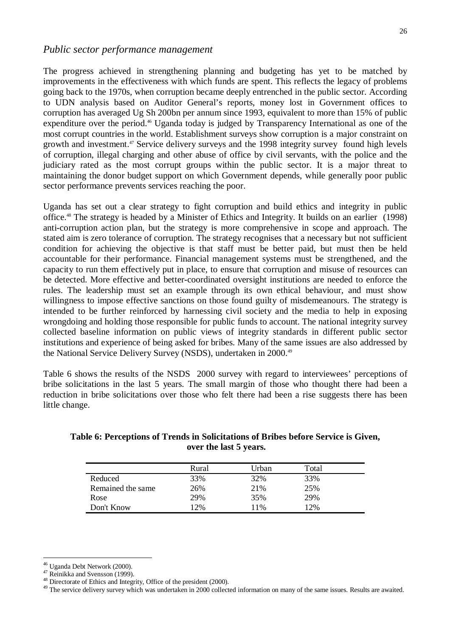The progress achieved in strengthening planning and budgeting has yet to be matched by improvements in the effectiveness with which funds are spent. This reflects the legacy of problems going back to the 1970s, when corruption became deeply entrenched in the public sector. According to UDN analysis based on Auditor General's reports, money lost in Government offices to corruption has averaged Ug Sh 200bn per annum since 1993, equivalent to more than 15% of public expenditure over the period.<sup>46</sup> Uganda today is judged by Transparency International as one of the most corrupt countries in the world. Establishment surveys show corruption is a major constraint on growth and investment.<sup>47</sup> Service delivery surveys and the 1998 integrity survey found high levels of corruption, illegal charging and other abuse of office by civil servants, with the police and the judiciary rated as the most corrupt groups within the public sector. It is a major threat to maintaining the donor budget support on which Government depends, while generally poor public sector performance prevents services reaching the poor.

Uganda has set out a clear strategy to fight corruption and build ethics and integrity in public office.48 The strategy is headed by a Minister of Ethics and Integrity. It builds on an earlier (1998) anti-corruption action plan, but the strategy is more comprehensive in scope and approach. The stated aim is zero tolerance of corruption. The strategy recognises that a necessary but not sufficient condition for achieving the objective is that staff must be better paid, but must then be held accountable for their performance. Financial management systems must be strengthened, and the capacity to run them effectively put in place, to ensure that corruption and misuse of resources can be detected. More effective and better-coordinated oversight institutions are needed to enforce the rules. The leadership must set an example through its own ethical behaviour, and must show willingness to impose effective sanctions on those found guilty of misdemeanours. The strategy is intended to be further reinforced by harnessing civil society and the media to help in exposing wrongdoing and holding those responsible for public funds to account. The national integrity survey collected baseline information on public views of integrity standards in different public sector institutions and experience of being asked for bribes. Many of the same issues are also addressed by the National Service Delivery Survey (NSDS), undertaken in 2000.49

Table 6 shows the results of the NSDS 2000 survey with regard to interviewees' perceptions of bribe solicitations in the last 5 years. The small margin of those who thought there had been a reduction in bribe solicitations over those who felt there had been a rise suggests there has been little change.

**Table 6: Perceptions of Trends in Solicitations of Bribes before Service is Given, over the last 5 years.**

|                   | Rural  | Urban | Total |  |
|-------------------|--------|-------|-------|--|
| Reduced           | 33%    | 32%   | 33%   |  |
| Remained the same | 26%    | 21%   | 25%   |  |
| Rose              | 29%    | 35%   | 29%   |  |
| Don't Know        | $12\%$ | 11%   | 12%   |  |

<sup>&</sup>lt;sup>46</sup> Uganda Debt Network (2000).<br><sup>47</sup> Reinikka and Svensson (1999).<br><sup>48</sup> Directorate of Ethics and Integrity, Office of the president (2000).<br><sup>49</sup> The service delivery survey which was undertaken in 2000 collected informa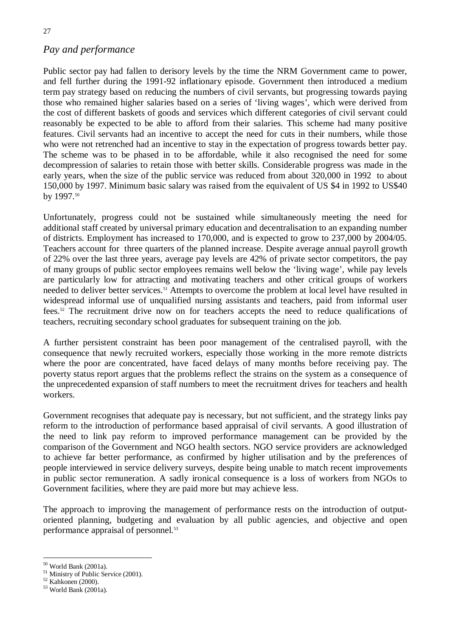## *Pay and performance*

Public sector pay had fallen to derisory levels by the time the NRM Government came to power, and fell further during the 1991-92 inflationary episode. Government then introduced a medium term pay strategy based on reducing the numbers of civil servants, but progressing towards paying those who remained higher salaries based on a series of 'living wages', which were derived from the cost of different baskets of goods and services which different categories of civil servant could reasonably be expected to be able to afford from their salaries. This scheme had many positive features. Civil servants had an incentive to accept the need for cuts in their numbers, while those who were not retrenched had an incentive to stay in the expectation of progress towards better pay. The scheme was to be phased in to be affordable, while it also recognised the need for some decompression of salaries to retain those with better skills. Considerable progress was made in the early years, when the size of the public service was reduced from about 320,000 in 1992 to about 150,000 by 1997. Minimum basic salary was raised from the equivalent of US \$4 in 1992 to US\$40 by 1997.<sup>50</sup>

Unfortunately, progress could not be sustained while simultaneously meeting the need for additional staff created by universal primary education and decentralisation to an expanding number of districts. Employment has increased to 170,000, and is expected to grow to 237,000 by 2004/05. Teachers account for three quarters of the planned increase. Despite average annual payroll growth of 22% over the last three years, average pay levels are 42% of private sector competitors, the pay of many groups of public sector employees remains well below the 'living wage', while pay levels are particularly low for attracting and motivating teachers and other critical groups of workers needed to deliver better services.<sup>51</sup> Attempts to overcome the problem at local level have resulted in widespread informal use of unqualified nursing assistants and teachers, paid from informal user fees.<sup>52</sup> The recruitment drive now on for teachers accepts the need to reduce qualifications of teachers, recruiting secondary school graduates for subsequent training on the job.

A further persistent constraint has been poor management of the centralised payroll, with the consequence that newly recruited workers, especially those working in the more remote districts where the poor are concentrated, have faced delays of many months before receiving pay. The poverty status report argues that the problems reflect the strains on the system as a consequence of the unprecedented expansion of staff numbers to meet the recruitment drives for teachers and health workers.

Government recognises that adequate pay is necessary, but not sufficient, and the strategy links pay reform to the introduction of performance based appraisal of civil servants. A good illustration of the need to link pay reform to improved performance management can be provided by the comparison of the Government and NGO health sectors. NGO service providers are acknowledged to achieve far better performance, as confirmed by higher utilisation and by the preferences of people interviewed in service delivery surveys, despite being unable to match recent improvements in public sector remuneration. A sadly ironical consequence is a loss of workers from NGOs to Government facilities, where they are paid more but may achieve less.

The approach to improving the management of performance rests on the introduction of outputoriented planning, budgeting and evaluation by all public agencies, and objective and open performance appraisal of personnel.<sup>53</sup>

<sup>&</sup>lt;sup>50</sup> World Bank (2001a).<br><sup>51</sup> Ministry of Public Service (2001).<br><sup>52</sup> Kahkonen (2000).<br><sup>53</sup> World Bank (2001a).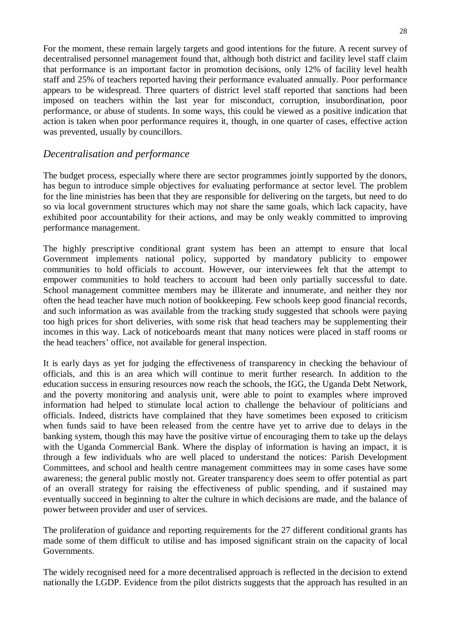For the moment, these remain largely targets and good intentions for the future. A recent survey of decentralised personnel management found that, although both district and facility level staff claim that performance is an important factor in promotion decisions, only 12% of facility level health staff and 25% of teachers reported having their performance evaluated annually. Poor performance appears to be widespread. Three quarters of district level staff reported that sanctions had been imposed on teachers within the last year for misconduct, corruption, insubordination, poor performance, or abuse of students. In some ways, this could be viewed as a positive indication that action is taken when poor performance requires it, though, in one quarter of cases, effective action was prevented, usually by councillors.

### *Decentralisation and performance*

The budget process, especially where there are sector programmes jointly supported by the donors, has begun to introduce simple objectives for evaluating performance at sector level. The problem for the line ministries has been that they are responsible for delivering on the targets, but need to do so via local government structures which may not share the same goals, which lack capacity, have exhibited poor accountability for their actions, and may be only weakly committed to improving performance management.

The highly prescriptive conditional grant system has been an attempt to ensure that local Government implements national policy, supported by mandatory publicity to empower communities to hold officials to account. However, our interviewees felt that the attempt to empower communities to hold teachers to account had been only partially successful to date. School management committee members may be illiterate and innumerate, and neither they nor often the head teacher have much notion of bookkeeping. Few schools keep good financial records, and such information as was available from the tracking study suggested that schools were paying too high prices for short deliveries, with some risk that head teachers may be supplementing their incomes in this way. Lack of noticeboards meant that many notices were placed in staff rooms or the head teachers' office, not available for general inspection.

It is early days as yet for judging the effectiveness of transparency in checking the behaviour of officials, and this is an area which will continue to merit further research. In addition to the education success in ensuring resources now reach the schools, the IGG, the Uganda Debt Network, and the poverty monitoring and analysis unit, were able to point to examples where improved information had helped to stimulate local action to challenge the behaviour of politicians and officials. Indeed, districts have complained that they have sometimes been exposed to criticism when funds said to have been released from the centre have yet to arrive due to delays in the banking system, though this may have the positive virtue of encouraging them to take up the delays with the Uganda Commercial Bank. Where the display of information is having an impact, it is through a few individuals who are well placed to understand the notices: Parish Development Committees, and school and health centre management committees may in some cases have some awareness; the general public mostly not. Greater transparency does seem to offer potential as part of an overall strategy for raising the effectiveness of public spending, and if sustained may eventually succeed in beginning to alter the culture in which decisions are made, and the balance of power between provider and user of services.

The proliferation of guidance and reporting requirements for the 27 different conditional grants has made some of them difficult to utilise and has imposed significant strain on the capacity of local Governments.

The widely recognised need for a more decentralised approach is reflected in the decision to extend nationally the LGDP. Evidence from the pilot districts suggests that the approach has resulted in an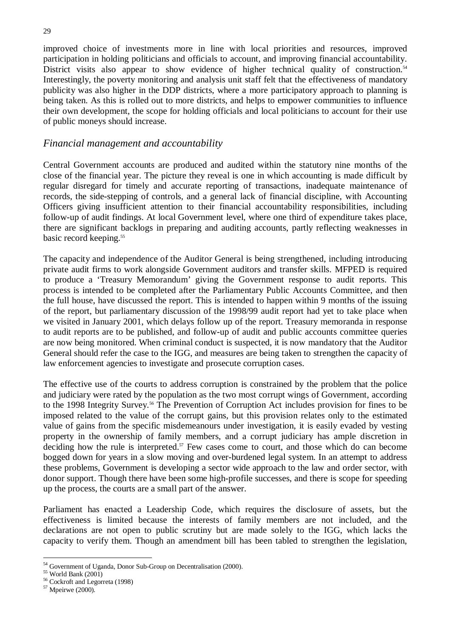improved choice of investments more in line with local priorities and resources, improved participation in holding politicians and officials to account, and improving financial accountability. District visits also appear to show evidence of higher technical quality of construction.<sup>54</sup> Interestingly, the poverty monitoring and analysis unit staff felt that the effectiveness of mandatory publicity was also higher in the DDP districts, where a more participatory approach to planning is being taken. As this is rolled out to more districts, and helps to empower communities to influence their own development, the scope for holding officials and local politicians to account for their use of public moneys should increase.

#### *Financial management and accountability*

Central Government accounts are produced and audited within the statutory nine months of the close of the financial year. The picture they reveal is one in which accounting is made difficult by regular disregard for timely and accurate reporting of transactions, inadequate maintenance of records, the side-stepping of controls, and a general lack of financial discipline, with Accounting Officers giving insufficient attention to their financial accountability responsibilities, including follow-up of audit findings. At local Government level, where one third of expenditure takes place, there are significant backlogs in preparing and auditing accounts, partly reflecting weaknesses in basic record keeping.<sup>55</sup>

The capacity and independence of the Auditor General is being strengthened, including introducing private audit firms to work alongside Government auditors and transfer skills. MFPED is required to produce a 'Treasury Memorandum' giving the Government response to audit reports. This process is intended to be completed after the Parliamentary Public Accounts Committee, and then the full house, have discussed the report. This is intended to happen within 9 months of the issuing of the report, but parliamentary discussion of the 1998/99 audit report had yet to take place when we visited in January 2001, which delays follow up of the report. Treasury memoranda in response to audit reports are to be published, and follow-up of audit and public accounts committee queries are now being monitored. When criminal conduct is suspected, it is now mandatory that the Auditor General should refer the case to the IGG, and measures are being taken to strengthen the capacity of law enforcement agencies to investigate and prosecute corruption cases.

The effective use of the courts to address corruption is constrained by the problem that the police and judiciary were rated by the population as the two most corrupt wings of Government, according to the 1998 Integrity Survey.56 The Prevention of Corruption Act includes provision for fines to be imposed related to the value of the corrupt gains, but this provision relates only to the estimated value of gains from the specific misdemeanours under investigation, it is easily evaded by vesting property in the ownership of family members, and a corrupt judiciary has ample discretion in deciding how the rule is interpreted.<sup>57</sup> Few cases come to court, and those which do can become bogged down for years in a slow moving and over-burdened legal system. In an attempt to address these problems, Government is developing a sector wide approach to the law and order sector, with donor support. Though there have been some high-profile successes, and there is scope for speeding up the process, the courts are a small part of the answer.

Parliament has enacted a Leadership Code, which requires the disclosure of assets, but the effectiveness is limited because the interests of family members are not included, and the declarations are not open to public scrutiny but are made solely to the IGG, which lacks the capacity to verify them. Though an amendment bill has been tabled to strengthen the legislation,

<sup>&</sup>lt;sup>54</sup> Government of Uganda, Donor Sub-Group on Decentralisation (2000).<br><sup>55</sup> World Bank (2001)<br><sup>56</sup> Cockroft and Legorreta (1998)<br><sup>57</sup> Mpeirwe (2000).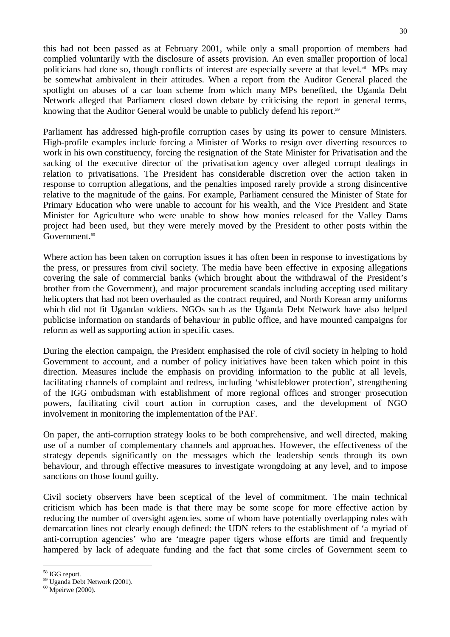this had not been passed as at February 2001, while only a small proportion of members had complied voluntarily with the disclosure of assets provision. An even smaller proportion of local politicians had done so, though conflicts of interest are especially severe at that level.<sup>58</sup> MPs may be somewhat ambivalent in their attitudes. When a report from the Auditor General placed the spotlight on abuses of a car loan scheme from which many MPs benefited, the Uganda Debt Network alleged that Parliament closed down debate by criticising the report in general terms, knowing that the Auditor General would be unable to publicly defend his report.<sup>59</sup>

Parliament has addressed high-profile corruption cases by using its power to censure Ministers. High-profile examples include forcing a Minister of Works to resign over diverting resources to work in his own constituency, forcing the resignation of the State Minister for Privatisation and the sacking of the executive director of the privatisation agency over alleged corrupt dealings in relation to privatisations. The President has considerable discretion over the action taken in response to corruption allegations, and the penalties imposed rarely provide a strong disincentive relative to the magnitude of the gains. For example, Parliament censured the Minister of State for Primary Education who were unable to account for his wealth, and the Vice President and State Minister for Agriculture who were unable to show how monies released for the Valley Dams project had been used, but they were merely moved by the President to other posts within the Government.<sup>60</sup>

Where action has been taken on corruption issues it has often been in response to investigations by the press, or pressures from civil society. The media have been effective in exposing allegations covering the sale of commercial banks (which brought about the withdrawal of the President's brother from the Government), and major procurement scandals including accepting used military helicopters that had not been overhauled as the contract required, and North Korean army uniforms which did not fit Ugandan soldiers. NGOs such as the Uganda Debt Network have also helped publicise information on standards of behaviour in public office, and have mounted campaigns for reform as well as supporting action in specific cases.

During the election campaign, the President emphasised the role of civil society in helping to hold Government to account, and a number of policy initiatives have been taken which point in this direction. Measures include the emphasis on providing information to the public at all levels, facilitating channels of complaint and redress, including 'whistleblower protection', strengthening of the IGG ombudsman with establishment of more regional offices and stronger prosecution powers, facilitating civil court action in corruption cases, and the development of NGO involvement in monitoring the implementation of the PAF.

On paper, the anti-corruption strategy looks to be both comprehensive, and well directed, making use of a number of complementary channels and approaches. However, the effectiveness of the strategy depends significantly on the messages which the leadership sends through its own behaviour, and through effective measures to investigate wrongdoing at any level, and to impose sanctions on those found guilty.

Civil society observers have been sceptical of the level of commitment. The main technical criticism which has been made is that there may be some scope for more effective action by reducing the number of oversight agencies, some of whom have potentially overlapping roles with demarcation lines not clearly enough defined: the UDN refers to the establishment of 'a myriad of anti-corruption agencies' who are 'meagre paper tigers whose efforts are timid and frequently hampered by lack of adequate funding and the fact that some circles of Government seem to

<sup>&</sup>lt;sup>58</sup> IGG report.<br><sup>59</sup> Uganda Debt Network (2001).<br><sup>60</sup> Mpeirwe (2000).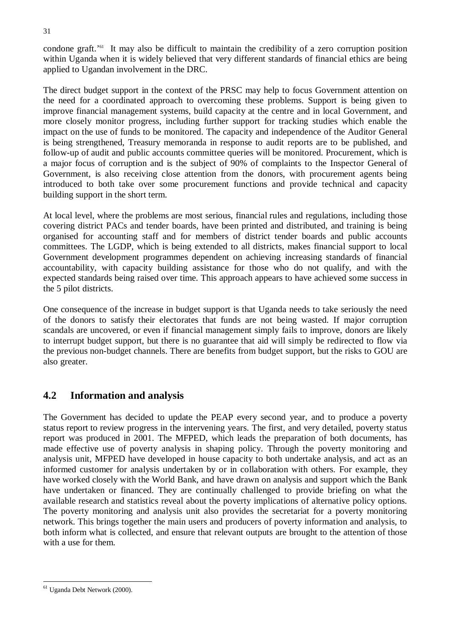condone graft.'61 It may also be difficult to maintain the credibility of a zero corruption position within Uganda when it is widely believed that very different standards of financial ethics are being applied to Ugandan involvement in the DRC.

The direct budget support in the context of the PRSC may help to focus Government attention on the need for a coordinated approach to overcoming these problems. Support is being given to improve financial management systems, build capacity at the centre and in local Government, and more closely monitor progress, including further support for tracking studies which enable the impact on the use of funds to be monitored. The capacity and independence of the Auditor General is being strengthened, Treasury memoranda in response to audit reports are to be published, and follow-up of audit and public accounts committee queries will be monitored. Procurement, which is a major focus of corruption and is the subject of 90% of complaints to the Inspector General of Government, is also receiving close attention from the donors, with procurement agents being introduced to both take over some procurement functions and provide technical and capacity building support in the short term.

At local level, where the problems are most serious, financial rules and regulations, including those covering district PACs and tender boards, have been printed and distributed, and training is being organised for accounting staff and for members of district tender boards and public accounts committees. The LGDP, which is being extended to all districts, makes financial support to local Government development programmes dependent on achieving increasing standards of financial accountability, with capacity building assistance for those who do not qualify, and with the expected standards being raised over time. This approach appears to have achieved some success in the 5 pilot districts.

One consequence of the increase in budget support is that Uganda needs to take seriously the need of the donors to satisfy their electorates that funds are not being wasted. If major corruption scandals are uncovered, or even if financial management simply fails to improve, donors are likely to interrupt budget support, but there is no guarantee that aid will simply be redirected to flow via the previous non-budget channels. There are benefits from budget support, but the risks to GOU are also greater.

## **4.2 Information and analysis**

The Government has decided to update the PEAP every second year, and to produce a poverty status report to review progress in the intervening years. The first, and very detailed, poverty status report was produced in 2001. The MFPED, which leads the preparation of both documents, has made effective use of poverty analysis in shaping policy. Through the poverty monitoring and analysis unit, MFPED have developed in house capacity to both undertake analysis, and act as an informed customer for analysis undertaken by or in collaboration with others. For example, they have worked closely with the World Bank, and have drawn on analysis and support which the Bank have undertaken or financed. They are continually challenged to provide briefing on what the available research and statistics reveal about the poverty implications of alternative policy options. The poverty monitoring and analysis unit also provides the secretariat for a poverty monitoring network. This brings together the main users and producers of poverty information and analysis, to both inform what is collected, and ensure that relevant outputs are brought to the attention of those with a use for them.

<sup>61</sup> Uganda Debt Network (2000).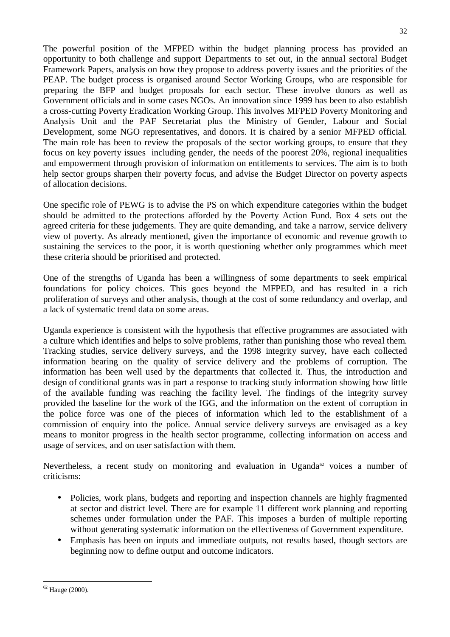The powerful position of the MFPED within the budget planning process has provided an opportunity to both challenge and support Departments to set out, in the annual sectoral Budget Framework Papers, analysis on how they propose to address poverty issues and the priorities of the PEAP. The budget process is organised around Sector Working Groups, who are responsible for preparing the BFP and budget proposals for each sector. These involve donors as well as Government officials and in some cases NGOs. An innovation since 1999 has been to also establish a cross-cutting Poverty Eradication Working Group. This involves MFPED Poverty Monitoring and Analysis Unit and the PAF Secretariat plus the Ministry of Gender, Labour and Social Development, some NGO representatives, and donors. It is chaired by a senior MFPED official. The main role has been to review the proposals of the sector working groups, to ensure that they focus on key poverty issues including gender, the needs of the poorest 20%, regional inequalities and empowerment through provision of information on entitlements to services. The aim is to both help sector groups sharpen their poverty focus, and advise the Budget Director on poverty aspects of allocation decisions.

One specific role of PEWG is to advise the PS on which expenditure categories within the budget should be admitted to the protections afforded by the Poverty Action Fund. Box 4 sets out the agreed criteria for these judgements. They are quite demanding, and take a narrow, service delivery view of poverty. As already mentioned, given the importance of economic and revenue growth to sustaining the services to the poor, it is worth questioning whether only programmes which meet these criteria should be prioritised and protected.

One of the strengths of Uganda has been a willingness of some departments to seek empirical foundations for policy choices. This goes beyond the MFPED, and has resulted in a rich proliferation of surveys and other analysis, though at the cost of some redundancy and overlap, and a lack of systematic trend data on some areas.

Uganda experience is consistent with the hypothesis that effective programmes are associated with a culture which identifies and helps to solve problems, rather than punishing those who reveal them. Tracking studies, service delivery surveys, and the 1998 integrity survey, have each collected information bearing on the quality of service delivery and the problems of corruption. The information has been well used by the departments that collected it. Thus, the introduction and design of conditional grants was in part a response to tracking study information showing how little of the available funding was reaching the facility level. The findings of the integrity survey provided the baseline for the work of the IGG, and the information on the extent of corruption in the police force was one of the pieces of information which led to the establishment of a commission of enquiry into the police. Annual service delivery surveys are envisaged as a key means to monitor progress in the health sector programme, collecting information on access and usage of services, and on user satisfaction with them.

Nevertheless, a recent study on monitoring and evaluation in Uganda<sup>62</sup> voices a number of criticisms:

- Policies, work plans, budgets and reporting and inspection channels are highly fragmented at sector and district level. There are for example 11 different work planning and reporting schemes under formulation under the PAF. This imposes a burden of multiple reporting without generating systematic information on the effectiveness of Government expenditure.
- Emphasis has been on inputs and immediate outputs, not results based, though sectors are beginning now to define output and outcome indicators.

 $62$  Hauge (2000).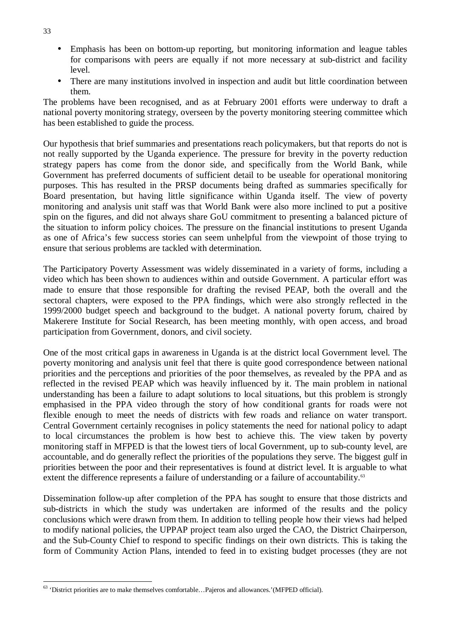- Emphasis has been on bottom-up reporting, but monitoring information and league tables for comparisons with peers are equally if not more necessary at sub-district and facility level.
- There are many institutions involved in inspection and audit but little coordination between them.

The problems have been recognised, and as at February 2001 efforts were underway to draft a national poverty monitoring strategy, overseen by the poverty monitoring steering committee which has been established to guide the process.

Our hypothesis that brief summaries and presentations reach policymakers, but that reports do not is not really supported by the Uganda experience. The pressure for brevity in the poverty reduction strategy papers has come from the donor side, and specifically from the World Bank, while Government has preferred documents of sufficient detail to be useable for operational monitoring purposes. This has resulted in the PRSP documents being drafted as summaries specifically for Board presentation, but having little significance within Uganda itself. The view of poverty monitoring and analysis unit staff was that World Bank were also more inclined to put a positive spin on the figures, and did not always share GoU commitment to presenting a balanced picture of the situation to inform policy choices. The pressure on the financial institutions to present Uganda as one of Africa's few success stories can seem unhelpful from the viewpoint of those trying to ensure that serious problems are tackled with determination.

The Participatory Poverty Assessment was widely disseminated in a variety of forms, including a video which has been shown to audiences within and outside Government. A particular effort was made to ensure that those responsible for drafting the revised PEAP, both the overall and the sectoral chapters, were exposed to the PPA findings, which were also strongly reflected in the 1999/2000 budget speech and background to the budget. A national poverty forum, chaired by Makerere Institute for Social Research, has been meeting monthly, with open access, and broad participation from Government, donors, and civil society.

One of the most critical gaps in awareness in Uganda is at the district local Government level. The poverty monitoring and analysis unit feel that there is quite good correspondence between national priorities and the perceptions and priorities of the poor themselves, as revealed by the PPA and as reflected in the revised PEAP which was heavily influenced by it. The main problem in national understanding has been a failure to adapt solutions to local situations, but this problem is strongly emphasised in the PPA video through the story of how conditional grants for roads were not flexible enough to meet the needs of districts with few roads and reliance on water transport. Central Government certainly recognises in policy statements the need for national policy to adapt to local circumstances the problem is how best to achieve this. The view taken by poverty monitoring staff in MFPED is that the lowest tiers of local Government, up to sub-county level, are accountable, and do generally reflect the priorities of the populations they serve. The biggest gulf in priorities between the poor and their representatives is found at district level. It is arguable to what extent the difference represents a failure of understanding or a failure of accountability.<sup>63</sup>

Dissemination follow-up after completion of the PPA has sought to ensure that those districts and sub-districts in which the study was undertaken are informed of the results and the policy conclusions which were drawn from them. In addition to telling people how their views had helped to modify national policies, the UPPAP project team also urged the CAO, the District Chairperson, and the Sub-County Chief to respond to specific findings on their own districts. This is taking the form of Community Action Plans, intended to feed in to existing budget processes (they are not

33

<sup>63</sup> 'District priorities are to make themselves comfortable…Pajeros and allowances.'(MFPED official).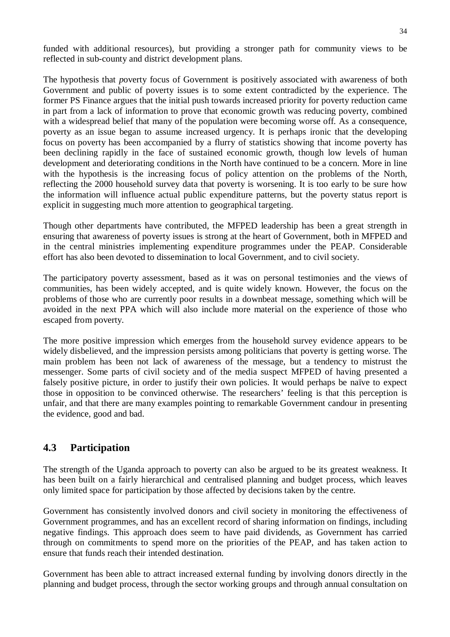funded with additional resources), but providing a stronger path for community views to be reflected in sub-county and district development plans.

The hypothesis that *p*overty focus of Government is positively associated with awareness of both Government and public of poverty issues is to some extent contradicted by the experience. The former PS Finance argues that the initial push towards increased priority for poverty reduction came in part from a lack of information to prove that economic growth was reducing poverty, combined with a widespread belief that many of the population were becoming worse off. As a consequence, poverty as an issue began to assume increased urgency. It is perhaps ironic that the developing focus on poverty has been accompanied by a flurry of statistics showing that income poverty has been declining rapidly in the face of sustained economic growth, though low levels of human development and deteriorating conditions in the North have continued to be a concern. More in line with the hypothesis is the increasing focus of policy attention on the problems of the North, reflecting the 2000 household survey data that poverty is worsening. It is too early to be sure how the information will influence actual public expenditure patterns, but the poverty status report is explicit in suggesting much more attention to geographical targeting.

Though other departments have contributed, the MFPED leadership has been a great strength in ensuring that awareness of poverty issues is strong at the heart of Government, both in MFPED and in the central ministries implementing expenditure programmes under the PEAP. Considerable effort has also been devoted to dissemination to local Government, and to civil society.

The participatory poverty assessment, based as it was on personal testimonies and the views of communities, has been widely accepted, and is quite widely known. However, the focus on the problems of those who are currently poor results in a downbeat message, something which will be avoided in the next PPA which will also include more material on the experience of those who escaped from poverty.

The more positive impression which emerges from the household survey evidence appears to be widely disbelieved, and the impression persists among politicians that poverty is getting worse. The main problem has been not lack of awareness of the message, but a tendency to mistrust the messenger. Some parts of civil society and of the media suspect MFPED of having presented a falsely positive picture, in order to justify their own policies. It would perhaps be naïve to expect those in opposition to be convinced otherwise. The researchers' feeling is that this perception is unfair, and that there are many examples pointing to remarkable Government candour in presenting the evidence, good and bad.

## **4.3 Participation**

The strength of the Uganda approach to poverty can also be argued to be its greatest weakness. It has been built on a fairly hierarchical and centralised planning and budget process, which leaves only limited space for participation by those affected by decisions taken by the centre.

Government has consistently involved donors and civil society in monitoring the effectiveness of Government programmes, and has an excellent record of sharing information on findings, including negative findings. This approach does seem to have paid dividends, as Government has carried through on commitments to spend more on the priorities of the PEAP, and has taken action to ensure that funds reach their intended destination.

Government has been able to attract increased external funding by involving donors directly in the planning and budget process, through the sector working groups and through annual consultation on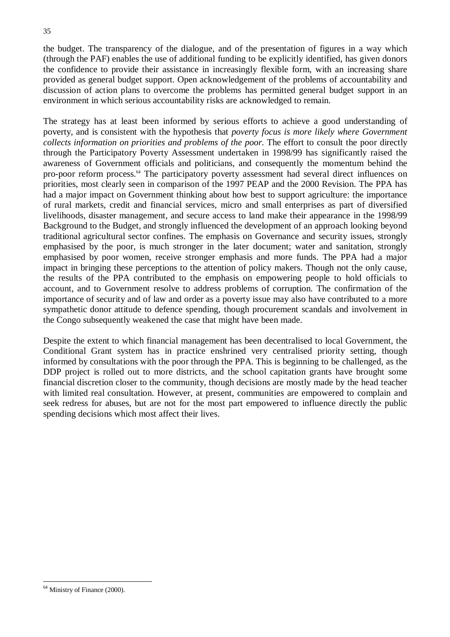the budget. The transparency of the dialogue, and of the presentation of figures in a way which (through the PAF) enables the use of additional funding to be explicitly identified, has given donors the confidence to provide their assistance in increasingly flexible form, with an increasing share provided as general budget support. Open acknowledgement of the problems of accountability and discussion of action plans to overcome the problems has permitted general budget support in an environment in which serious accountability risks are acknowledged to remain.

The strategy has at least been informed by serious efforts to achieve a good understanding of poverty, and is consistent with the hypothesis that *poverty focus is more likely where Government collects information on priorities and problems of the poor.* The effort to consult the poor directly through the Participatory Poverty Assessment undertaken in 1998/99 has significantly raised the awareness of Government officials and politicians, and consequently the momentum behind the pro-poor reform process.<sup>64</sup> The participatory poverty assessment had several direct influences on priorities, most clearly seen in comparison of the 1997 PEAP and the 2000 Revision. The PPA has had a major impact on Government thinking about how best to support agriculture: the importance of rural markets, credit and financial services, micro and small enterprises as part of diversified livelihoods, disaster management, and secure access to land make their appearance in the 1998/99 Background to the Budget, and strongly influenced the development of an approach looking beyond traditional agricultural sector confines. The emphasis on Governance and security issues, strongly emphasised by the poor, is much stronger in the later document; water and sanitation, strongly emphasised by poor women, receive stronger emphasis and more funds. The PPA had a major impact in bringing these perceptions to the attention of policy makers. Though not the only cause, the results of the PPA contributed to the emphasis on empowering people to hold officials to account, and to Government resolve to address problems of corruption. The confirmation of the importance of security and of law and order as a poverty issue may also have contributed to a more sympathetic donor attitude to defence spending, though procurement scandals and involvement in the Congo subsequently weakened the case that might have been made.

Despite the extent to which financial management has been decentralised to local Government, the Conditional Grant system has in practice enshrined very centralised priority setting, though informed by consultations with the poor through the PPA. This is beginning to be challenged, as the DDP project is rolled out to more districts, and the school capitation grants have brought some financial discretion closer to the community, though decisions are mostly made by the head teacher with limited real consultation. However, at present, communities are empowered to complain and seek redress for abuses, but are not for the most part empowered to influence directly the public spending decisions which most affect their lives.

<sup>64</sup> Ministry of Finance (2000).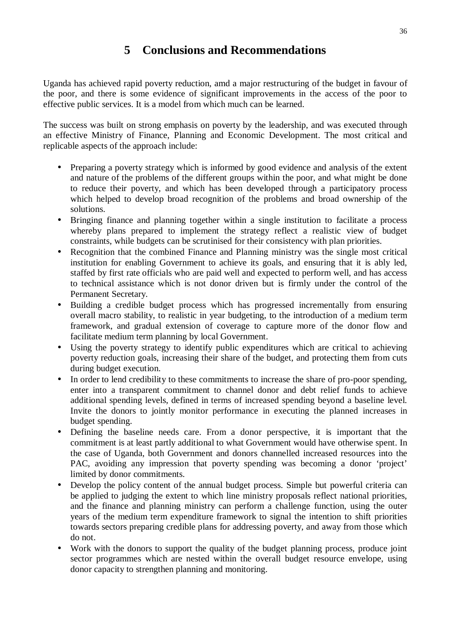## **5 Conclusions and Recommendations**

Uganda has achieved rapid poverty reduction, amd a major restructuring of the budget in favour of the poor, and there is some evidence of significant improvements in the access of the poor to effective public services. It is a model from which much can be learned.

The success was built on strong emphasis on poverty by the leadership, and was executed through an effective Ministry of Finance, Planning and Economic Development. The most critical and replicable aspects of the approach include:

- Preparing a poverty strategy which is informed by good evidence and analysis of the extent and nature of the problems of the different groups within the poor, and what might be done to reduce their poverty, and which has been developed through a participatory process which helped to develop broad recognition of the problems and broad ownership of the solutions.
- Bringing finance and planning together within a single institution to facilitate a process whereby plans prepared to implement the strategy reflect a realistic view of budget constraints, while budgets can be scrutinised for their consistency with plan priorities.
- Recognition that the combined Finance and Planning ministry was the single most critical institution for enabling Government to achieve its goals, and ensuring that it is ably led, staffed by first rate officials who are paid well and expected to perform well, and has access to technical assistance which is not donor driven but is firmly under the control of the Permanent Secretary.
- Building a credible budget process which has progressed incrementally from ensuring overall macro stability, to realistic in year budgeting, to the introduction of a medium term framework, and gradual extension of coverage to capture more of the donor flow and facilitate medium term planning by local Government.
- Using the poverty strategy to identify public expenditures which are critical to achieving poverty reduction goals, increasing their share of the budget, and protecting them from cuts during budget execution.
- In order to lend credibility to these commitments to increase the share of pro-poor spending, enter into a transparent commitment to channel donor and debt relief funds to achieve additional spending levels, defined in terms of increased spending beyond a baseline level. Invite the donors to jointly monitor performance in executing the planned increases in budget spending.
- Defining the baseline needs care. From a donor perspective, it is important that the commitment is at least partly additional to what Government would have otherwise spent. In the case of Uganda, both Government and donors channelled increased resources into the PAC, avoiding any impression that poverty spending was becoming a donor 'project' limited by donor commitments.
- Develop the policy content of the annual budget process. Simple but powerful criteria can be applied to judging the extent to which line ministry proposals reflect national priorities, and the finance and planning ministry can perform a challenge function, using the outer years of the medium term expenditure framework to signal the intention to shift priorities towards sectors preparing credible plans for addressing poverty, and away from those which do not.
- Work with the donors to support the quality of the budget planning process, produce joint sector programmes which are nested within the overall budget resource envelope, using donor capacity to strengthen planning and monitoring.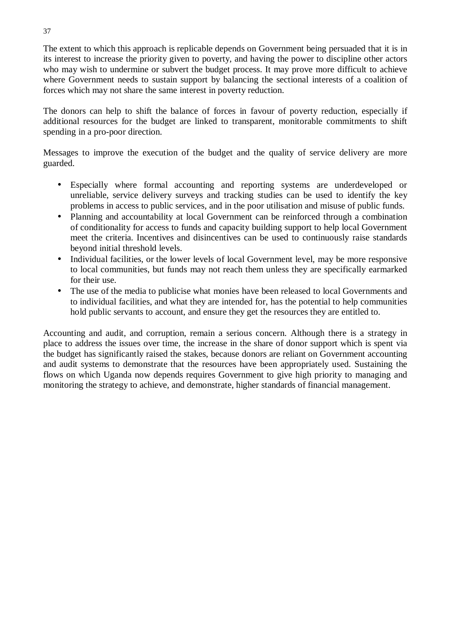The extent to which this approach is replicable depends on Government being persuaded that it is in its interest to increase the priority given to poverty, and having the power to discipline other actors who may wish to undermine or subvert the budget process. It may prove more difficult to achieve where Government needs to sustain support by balancing the sectional interests of a coalition of forces which may not share the same interest in poverty reduction.

The donors can help to shift the balance of forces in favour of poverty reduction, especially if additional resources for the budget are linked to transparent, monitorable commitments to shift spending in a pro-poor direction.

Messages to improve the execution of the budget and the quality of service delivery are more guarded.

- Especially where formal accounting and reporting systems are underdeveloped or unreliable, service delivery surveys and tracking studies can be used to identify the key problems in access to public services, and in the poor utilisation and misuse of public funds.
- Planning and accountability at local Government can be reinforced through a combination of conditionality for access to funds and capacity building support to help local Government meet the criteria. Incentives and disincentives can be used to continuously raise standards beyond initial threshold levels.
- Individual facilities, or the lower levels of local Government level, may be more responsive to local communities, but funds may not reach them unless they are specifically earmarked for their use.
- The use of the media to publicise what monies have been released to local Governments and to individual facilities, and what they are intended for, has the potential to help communities hold public servants to account, and ensure they get the resources they are entitled to.

Accounting and audit, and corruption, remain a serious concern. Although there is a strategy in place to address the issues over time, the increase in the share of donor support which is spent via the budget has significantly raised the stakes, because donors are reliant on Government accounting and audit systems to demonstrate that the resources have been appropriately used. Sustaining the flows on which Uganda now depends requires Government to give high priority to managing and monitoring the strategy to achieve, and demonstrate, higher standards of financial management.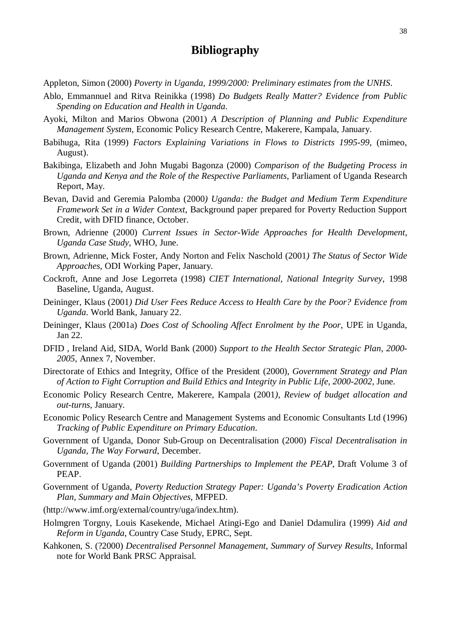## **Bibliography**

Appleton, Simon (2000) *Poverty in Uganda, 1999/2000: Preliminary estimates from the UNHS*.

- Ablo, Emmannuel and Ritva Reinikka (1998) *Do Budgets Really Matter? Evidence from Public Spending on Education and Health in Uganda*.
- Ayoki, Milton and Marios Obwona (2001) *A Description of Planning and Public Expenditure Management System*, Economic Policy Research Centre, Makerere, Kampala, January.
- Babihuga, Rita (1999) *Factors Explaining Variations in Flows to Districts 1995-99*, (mimeo, August).
- Bakibinga, Elizabeth and John Mugabi Bagonza (2000) *Comparison of the Budgeting Process in Uganda and Kenya and the Role of the Respective Parliaments*, Parliament of Uganda Research Report, May.
- Bevan, David and Geremia Palomba (2000*) Uganda: the Budget and Medium Term Expenditure Framework Set in a Wider Context*, Background paper prepared for Poverty Reduction Support Credit, with DFID finance, October.
- Brown, Adrienne (2000) *Current Issues in Sector-Wide Approaches for Health Development, Uganda Case Study*, WHO, June.
- Brown, Adrienne, Mick Foster, Andy Norton and Felix Naschold (2001*) The Status of Sector Wide Approaches*, ODI Working Paper, January.
- Cockroft, Anne and Jose Legorreta (1998) *CIET International, National Integrity Survey*, 1998 Baseline, Uganda, August.
- Deininger, Klaus (2001*) Did User Fees Reduce Access to Health Care by the Poor? Evidence from Uganda*. World Bank, January 22.
- Deininger, Klaus (2001a) *Does Cost of Schooling Affect Enrolment by the Poor*, UPE in Uganda, Jan 22.
- DFID , Ireland Aid, SIDA, World Bank (2000) *Support to the Health Sector Strategic Plan, 2000- 2005*, Annex 7, November.
- Directorate of Ethics and Integrity, Office of the President (2000), *Government Strategy and Plan of Action to Fight Corruption and Build Ethics and Integrity in Public Life, 2000-2002*, June.
- Economic Policy Research Centre, Makerere, Kampala (2001*), Review of budget allocation and out-turns*, January.
- Economic Policy Research Centre and Management Systems and Economic Consultants Ltd (1996) *Tracking of Public Expenditure on Primary Education*.
- Government of Uganda, Donor Sub-Group on Decentralisation (2000) *Fiscal Decentralisation in Uganda, The Way Forward*, December.
- Government of Uganda (2001) *Building Partnerships to Implement the PEAP*, Draft Volume 3 of PEAP.
- Government of Uganda, *Poverty Reduction Strategy Paper: Uganda's Poverty Eradication Action Plan, Summary and Main Objectives*, MFPED.
- (http://www.imf.org/external/country/uga/index.htm).
- Holmgren Torgny, Louis Kasekende, Michael Atingi-Ego and Daniel Ddamulira (1999) *Aid and Reform in Uganda*, Country Case Study, EPRC, Sept.
- Kahkonen, S. (?2000) *Decentralised Personnel Management, Summary of Survey Results*, Informal note for World Bank PRSC Appraisal.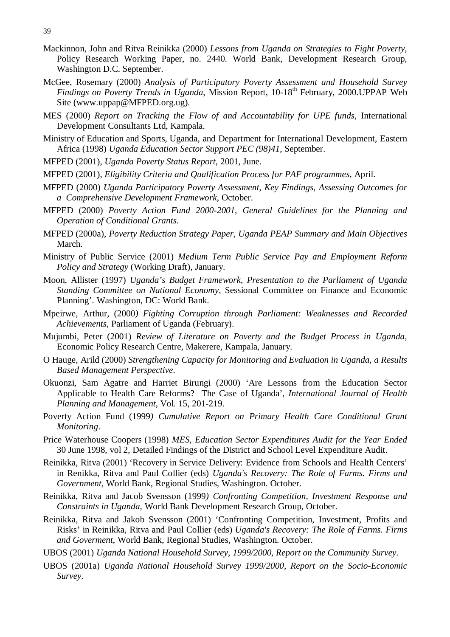- Mackinnon, John and Ritva Reinikka (2000) *Lessons from Uganda on Strategies to Fight Poverty*, Policy Research Working Paper, no. 2440. World Bank, Development Research Group, Washington D.C. September.
- McGee, Rosemary (2000) *Analysis of Participatory Poverty Assessment and Household Survey Findings on Poverty Trends in Uganda*, Mission Report, 10-18<sup>th</sup> February, 2000.UPPAP Web Site (www.uppap@MFPED.org.ug).
- MES (2000) *Report on Tracking the Flow of and Accountability for UPE funds*, International Development Consultants Ltd, Kampala.
- Ministry of Education and Sports, Uganda, and Department for International Development, Eastern Africa (1998) *Uganda Education Sector Support PEC (98)41*, September.
- MFPED (2001), *Uganda Poverty Status Report*, 2001, June.
- MFPED (2001), *Eligibility Criteria and Qualification Process for PAF programmes*, April.
- MFPED (2000) *Uganda Participatory Poverty Assessment, Key Findings, Assessing Outcomes for a Comprehensive Development Framework*, October.
- MFPED (2000) *Poverty Action Fund 2000-2001, General Guidelines for the Planning and Operation of Conditional Grants.*
- MFPED (2000a), *Poverty Reduction Strategy Paper, Uganda PEAP Summary and Main Objectives* March.
- Ministry of Public Service (2001) *Medium Term Public Service Pay and Employment Reform Policy and Strategy* (Working Draft), January.
- Moon, Allister (1997) *Uganda's Budget Framework, Presentation to the Parliament of Uganda Standing Committee on National Economy*, Sessional Committee on Finance and Economic Planning'. Washington, DC: World Bank.
- Mpeirwe, Arthur, (2000*) Fighting Corruption through Parliament: Weaknesses and Recorded Achievements*, Parliament of Uganda (February).
- Mujumbi, Peter (2001) *Review of Literature on Poverty and the Budget Process in Uganda*, Economic Policy Research Centre, Makerere, Kampala, January.
- O Hauge, Arild (2000) *Strengthening Capacity for Monitoring and Evaluation in Uganda, a Results Based Management Perspective*.
- Okuonzi, Sam Agatre and Harriet Birungi (2000) 'Are Lessons from the Education Sector Applicable to Health Care Reforms? The Case of Uganda', *International Journal of Health Planning and Management*, Vol. 15, 201-219.
- Poverty Action Fund (1999*) Cumulative Report on Primary Health Care Conditional Grant Monitoring*.
- Price Waterhouse Coopers (1998) *MES, Education Sector Expenditures Audit for the Year Ended* 30 June 1998, vol 2, Detailed Findings of the District and School Level Expenditure Audit.
- Reinikka, Ritva (2001) 'Recovery in Service Delivery: Evidence from Schools and Health Centers' in Renikka, Ritva and Paul Collier (eds) *Uganda's Recovery: The Role of Farms. Firms and Government*, World Bank, Regional Studies, Washington. October.
- Reinikka, Ritva and Jacob Svensson (1999*) Confronting Competition, Investment Response and Constraints in Uganda*, World Bank Development Research Group, October.
- Reinikka, Ritva and Jakob Svensson (2001) 'Confronting Competition, Investment, Profits and Risks' in Reinikka, Ritva and Paul Collier (eds) *Uganda's Recovery: The Role of Farms. Firms and Goverment*, World Bank, Regional Studies, Washington. October.
- UBOS (2001) *Uganda National Household Survey, 1999/2000, Report on the Community Survey*.
- UBOS (2001a) *Uganda National Household Survey 1999/2000, Report on the Socio-Economic Survey.*

<sup>39</sup>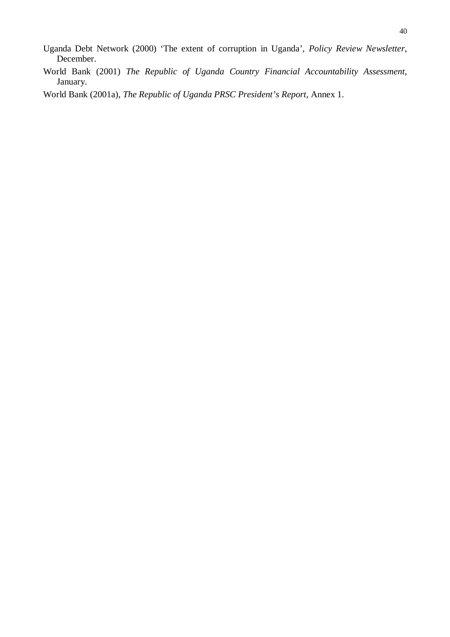- Uganda Debt Network (2000) 'The extent of corruption in Uganda', *Policy Review Newsletter*, December.
- World Bank (2001) *The Republic of Uganda Country Financial Accountability Assessment*, January.
- World Bank (2001a), *The Republic of Uganda PRSC President's Report*, Annex 1.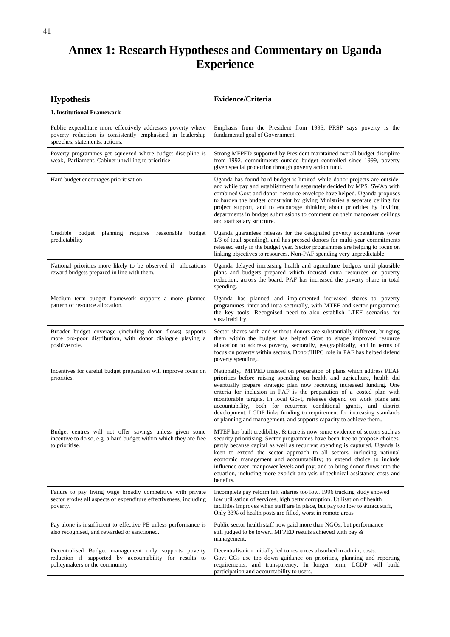## **Annex 1: Research Hypotheses and Commentary on Uganda Experience**

| <b>Hypothesis</b>                                                                                                                                           | Evidence/Criteria                                                                                                                                                                                                                                                                                                                                                                                                                                                                                                                                                                                     |
|-------------------------------------------------------------------------------------------------------------------------------------------------------------|-------------------------------------------------------------------------------------------------------------------------------------------------------------------------------------------------------------------------------------------------------------------------------------------------------------------------------------------------------------------------------------------------------------------------------------------------------------------------------------------------------------------------------------------------------------------------------------------------------|
| 1. Institutional Framework                                                                                                                                  |                                                                                                                                                                                                                                                                                                                                                                                                                                                                                                                                                                                                       |
| Public expenditure more effectively addresses poverty where<br>poverty reduction is consistently emphasised in leadership<br>speeches, statements, actions. | Emphasis from the President from 1995, PRSP says poverty is the<br>fundamental goal of Government.                                                                                                                                                                                                                                                                                                                                                                                                                                                                                                    |
| Poverty programmes get squeezed where budget discipline is<br>weak, .Parliament, Cabinet unwilling to prioritise                                            | Strong MFPED supported by President maintained overall budget discipline<br>from 1992, commitments outside budget controlled since 1999, poverty<br>given special protection through poverty action fund.                                                                                                                                                                                                                                                                                                                                                                                             |
| Hard budget encourages prioritisation                                                                                                                       | Uganda has found hard budget is limited while donor projects are outside,<br>and while pay and establishment is separately decided by MPS. SWAp with<br>combined Govt and donor resource envelope have helped. Uganda proposes<br>to harden the budget constraint by giving Ministries a separate ceiling for<br>project support, and to encourage thinking about priorities by inviting<br>departments in budget submissions to comment on their manpower ceilings<br>and staff salary structure.                                                                                                    |
| Credible budget planning requires reasonable<br>budget<br>predictability                                                                                    | Uganda guarantees releases for the designated poverty expenditures (over<br>1/3 of total spending), and has pressed donors for multi-year commitments<br>released early in the budget year. Sector programmes are helping to focus on<br>linking objectives to resources. Non-PAF spending very unpredictable.                                                                                                                                                                                                                                                                                        |
| National priorities more likely to be observed if allocations<br>reward budgets prepared in line with them.                                                 | Uganda delayed increasing health and agriculture budgets until plausible<br>plans and budgets prepared which focused extra resources on poverty<br>reduction; across the board, PAF has increased the poverty share in total<br>spending.                                                                                                                                                                                                                                                                                                                                                             |
| Medium term budget framework supports a more planned<br>pattern of resource allocation.                                                                     | Uganda has planned and implemented increased shares to poverty<br>programmes, inter and intra sectorally, with MTEF and sector programmes<br>the key tools. Recognised need to also establish LTEF scenarios for<br>sustainability.                                                                                                                                                                                                                                                                                                                                                                   |
| Broader budget coverage (including donor flows) supports<br>more pro-poor distribution, with donor dialogue playing a<br>positive role.                     | Sector shares with and without donors are substantially different, bringing<br>them within the budget has helped Govt to shape improved resource<br>allocation to address poverty, sectorally, geographically, and in terms of<br>focus on poverty within sectors. Donor/HIPC role in PAF has helped defend<br>poverty spending                                                                                                                                                                                                                                                                       |
| Incentives for careful budget preparation will improve focus on<br>priorities.                                                                              | Nationally, MFPED insisted on preparation of plans which address PEAP<br>priorities before raising spending on health and agriculture, health did<br>eventually prepare strategic plan now receiving increased funding. One<br>criteria for inclusion in PAF is the preparation of a costed plan with<br>monitorable targets. In local Govt, releases depend on work plans and<br>accountability, both for recurrent conditional grants, and district<br>development. LGDP links funding to requirement for increasing standards<br>of planning and management, and supports capacity to achieve them |
| Budget centres will not offer savings unless given some<br>incentive to do so, e.g. a hard budget within which they are free<br>to prioritise.              | MTEF has built credibility, & there is now some evidence of sectors such as<br>security prioritising. Sector programmes have been free to propose choices,<br>partly because capital as well as recurrent spending is captured. Uganda is<br>keen to extend the sector approach to all sectors, including national<br>economic management and accountability; to extend choice to include<br>influence over manpower levels and pay; and to bring donor flows into the<br>equation, including more explicit analysis of technical assistance costs and<br>benefits.                                   |
| Failure to pay living wage broadly competitive with private<br>sector erodes all aspects of expenditure effectiveness, including<br>poverty.                | Incomplete pay reform left salaries too low. 1996 tracking study showed<br>low utilisation of services, high petty corruption. Utilisation of health<br>facilities improves when staff are in place, but pay too low to attract staff,<br>Only 33% of health posts are filled, worst in remote areas.                                                                                                                                                                                                                                                                                                 |
| Pay alone is insufficient to effective PE unless performance is<br>also recognised, and rewarded or sanctioned.                                             | Public sector health staff now paid more than NGOs, but performance<br>still judged to be lower MFPED results achieved with pay &<br>management.                                                                                                                                                                                                                                                                                                                                                                                                                                                      |
| Decentralised Budget management only supports poverty<br>reduction if supported by accountability for results to<br>policymakers or the community           | Decentralisation initially led to resources absorbed in admin, costs.<br>Govt CGs use top down guidance on priorities, planning and reporting<br>requirements, and transparency. In longer term, LGDP will build<br>participation and accountability to users.                                                                                                                                                                                                                                                                                                                                        |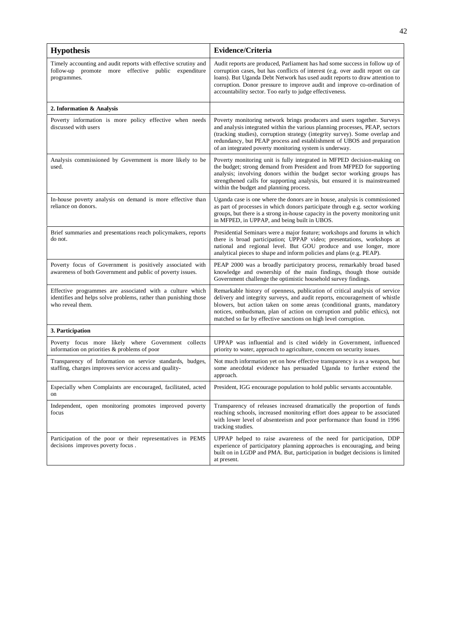| <b>Hypothesis</b>                                                                                                                                | <b>Evidence/Criteria</b>                                                                                                                                                                                                                                                                                                                                                             |
|--------------------------------------------------------------------------------------------------------------------------------------------------|--------------------------------------------------------------------------------------------------------------------------------------------------------------------------------------------------------------------------------------------------------------------------------------------------------------------------------------------------------------------------------------|
| Timely accounting and audit reports with effective scrutiny and<br>follow-up promote more effective public<br>expenditure<br>programmes.         | Audit reports are produced, Parliament has had some success in follow up of<br>corruption cases, but has conflicts of interest (e.g. over audit report on car<br>loans). But Uganda Debt Network has used audit reports to draw attention to<br>corruption. Donor pressure to improve audit and improve co-ordination of<br>accountability sector. Too early to judge effectiveness. |
| 2. Information & Analysis                                                                                                                        |                                                                                                                                                                                                                                                                                                                                                                                      |
| Poverty information is more policy effective when needs<br>discussed with users                                                                  | Poverty monitoring network brings producers and users together. Surveys<br>and analysis integrated within the various planning processes, PEAP, sectors<br>(tracking studies), corruption strategy (integrity survey). Some overlap and<br>redundancy, but PEAP process and establishment of UBOS and preparation<br>of an integrated poverty monitoring system is underway.         |
| Analysis commissioned by Government is more likely to be<br>used.                                                                                | Poverty monitoring unit is fully integrated in MFPED decision-making on<br>the budget; strong demand from President and from MFPED for supporting<br>analysis; involving donors within the budget sector working groups has<br>strengthened calls for supporting analysis, but ensured it is mainstreamed<br>within the budget and planning process.                                 |
| In-house poverty analysis on demand is more effective than<br>reliance on donors.                                                                | Uganda case is one where the donors are in house, analysis is commissioned<br>as part of processes in which donors participate through e.g. sector working<br>groups, but there is a strong in-house capacity in the poverty monitoring unit<br>in MFPED, in UPPAP, and being built in UBOS.                                                                                         |
| Brief summaries and presentations reach policymakers, reports<br>do not.                                                                         | Presidential Seminars were a major feature; workshops and forums in which<br>there is broad participation; UPPAP video; presentations, workshops at<br>national and regional level. But GOU produce and use longer, more<br>analytical pieces to shape and inform policies and plans (e.g. PEAP).                                                                                    |
| Poverty focus of Government is positively associated with<br>awareness of both Government and public of poverty issues.                          | PEAP 2000 was a broadly participatory process, remarkably broad based<br>knowledge and ownership of the main findings, though those outside<br>Government challenge the optimistic household survey findings.                                                                                                                                                                        |
| Effective programmes are associated with a culture which<br>identifies and helps solve problems, rather than punishing those<br>who reveal them. | Remarkable history of openness, publication of critical analysis of service<br>delivery and integrity surveys, and audit reports, encouragement of whistle<br>blowers, but action taken on some areas (conditional grants, mandatory<br>notices, ombudsman, plan of action on corruption and public ethics), not<br>matched so far by effective sanctions on high level corruption.  |
| 3. Participation                                                                                                                                 |                                                                                                                                                                                                                                                                                                                                                                                      |
| Poverty focus more likely where Government collects<br>information on priorities & problems of poor                                              | UPPAP was influential and is cited widely in Government, influenced<br>priority to water, approach to agriculture, concern on security issues.                                                                                                                                                                                                                                       |
| Transparency of Information on service standards, budges,<br>staffing, charges improves service access and quality-                              | Not much information yet on how effective transparency is as a weapon, but<br>some anecdotal evidence has persuaded Uganda to further extend the<br>approach.                                                                                                                                                                                                                        |
| Especially when Complaints are encouraged, facilitated, acted<br>on                                                                              | President, IGG encourage population to hold public servants accountable.                                                                                                                                                                                                                                                                                                             |
| Independent, open monitoring promotes improved poverty<br>focus                                                                                  | Transparency of releases increased dramatically the proportion of funds<br>reaching schools, increased monitoring effort does appear to be associated<br>with lower level of absenteeism and poor performance than found in 1996<br>tracking studies.                                                                                                                                |
| Participation of the poor or their representatives in PEMS<br>decisions improves poverty focus.                                                  | UPPAP helped to raise awareness of the need for participation, DDP<br>experience of participatory planning approaches is encouraging, and being<br>built on in LGDP and PMA. But, participation in budget decisions is limited<br>at present.                                                                                                                                        |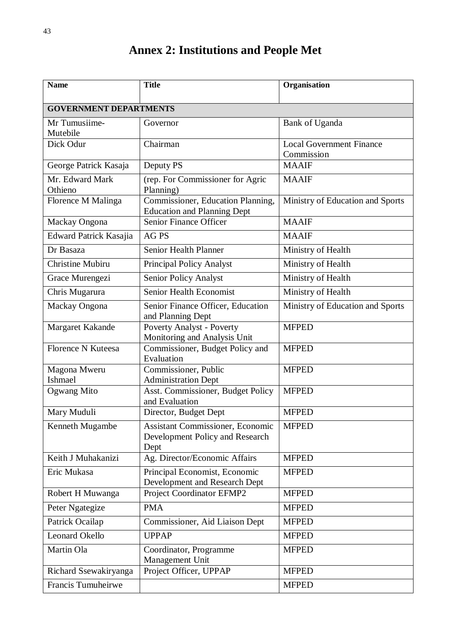| <b>Name</b>                   | <b>Title</b>                                                                       | Organisation                                  |  |
|-------------------------------|------------------------------------------------------------------------------------|-----------------------------------------------|--|
| <b>GOVERNMENT DEPARTMENTS</b> |                                                                                    |                                               |  |
| Mr Tumusiime-<br>Mutebile     | Governor                                                                           | Bank of Uganda                                |  |
| Dick Odur                     | Chairman                                                                           | <b>Local Government Finance</b><br>Commission |  |
| George Patrick Kasaja         | Deputy PS                                                                          | <b>MAAIF</b>                                  |  |
| Mr. Edward Mark<br>Othieno    | (rep. For Commissioner for Agric<br>Planning)                                      | <b>MAAIF</b>                                  |  |
| Florence M Malinga            | Commissioner, Education Planning,<br><b>Education and Planning Dept</b>            | Ministry of Education and Sports              |  |
| Mackay Ongona                 | Senior Finance Officer                                                             | <b>MAAIF</b>                                  |  |
| Edward Patrick Kasajia        | <b>AG PS</b>                                                                       | <b>MAAIF</b>                                  |  |
| Dr Basaza                     | Senior Health Planner                                                              | Ministry of Health                            |  |
| <b>Christine Mubiru</b>       | <b>Principal Policy Analyst</b>                                                    | Ministry of Health                            |  |
| Grace Murengezi               | Senior Policy Analyst                                                              | Ministry of Health                            |  |
| Chris Mugarura                | Senior Health Economist                                                            | Ministry of Health                            |  |
| Mackay Ongona                 | Senior Finance Officer, Education<br>and Planning Dept                             | Ministry of Education and Sports              |  |
| Margaret Kakande              | <b>Poverty Analyst - Poverty</b><br>Monitoring and Analysis Unit                   | <b>MFPED</b>                                  |  |
| Florence N Kuteesa            | Commissioner, Budget Policy and<br>Evaluation                                      | <b>MFPED</b>                                  |  |
| Magona Mweru<br>Ishmael       | Commissioner, Public<br><b>Administration Dept</b>                                 | <b>MFPED</b>                                  |  |
| Ogwang Mito                   | Asst. Commissioner, Budget Policy<br>and Evaluation                                | <b>MFPED</b>                                  |  |
| Mary Muduli                   | Director, Budget Dept                                                              | <b>MFPED</b>                                  |  |
| Kenneth Mugambe               | <b>Assistant Commissioner, Economic</b><br>Development Policy and Research<br>Dept | <b>MFPED</b>                                  |  |
| Keith J Muhakanizi            | Ag. Director/Economic Affairs                                                      | <b>MFPED</b>                                  |  |
| Eric Mukasa                   | Principal Economist, Economic<br>Development and Research Dept                     | <b>MFPED</b>                                  |  |
| Robert H Muwanga              | <b>Project Coordinator EFMP2</b>                                                   | <b>MFPED</b>                                  |  |
| Peter Ngategize               | <b>PMA</b>                                                                         | <b>MFPED</b>                                  |  |
| Patrick Ocailap               | Commissioner, Aid Liaison Dept                                                     | <b>MFPED</b>                                  |  |
| <b>Leonard Okello</b>         | <b>UPPAP</b>                                                                       | <b>MFPED</b>                                  |  |
| Martin Ola                    | Coordinator, Programme<br>Management Unit                                          | <b>MFPED</b>                                  |  |
| Richard Ssewakiryanga         | Project Officer, UPPAP                                                             | <b>MFPED</b>                                  |  |
| Francis Tumuheirwe            |                                                                                    | <b>MFPED</b>                                  |  |

## **Annex 2: Institutions and People Met**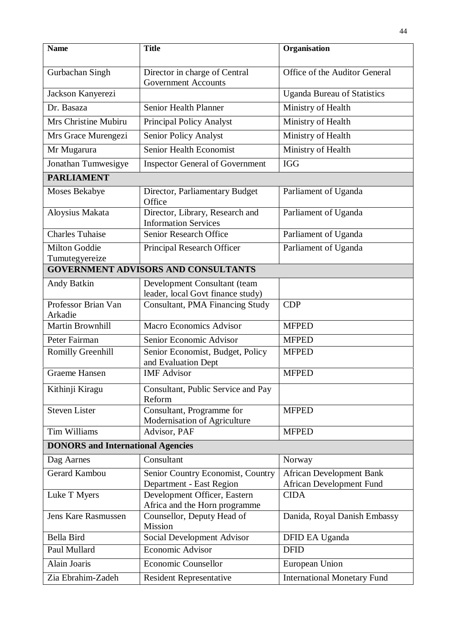| <b>Name</b>                                | <b>Title</b>                                                      | Organisation                                                       |  |  |
|--------------------------------------------|-------------------------------------------------------------------|--------------------------------------------------------------------|--|--|
| Gurbachan Singh                            | Director in charge of Central<br><b>Government Accounts</b>       | Office of the Auditor General                                      |  |  |
| Jackson Kanyerezi                          |                                                                   | <b>Uganda Bureau of Statistics</b>                                 |  |  |
| Dr. Basaza                                 | Senior Health Planner                                             | Ministry of Health                                                 |  |  |
| Mrs Christine Mubiru                       | <b>Principal Policy Analyst</b>                                   | Ministry of Health                                                 |  |  |
| Mrs Grace Murengezi                        | Senior Policy Analyst                                             | Ministry of Health                                                 |  |  |
| Mr Mugarura                                | <b>Senior Health Economist</b>                                    | Ministry of Health                                                 |  |  |
| Jonathan Tumwesigye                        | <b>Inspector General of Government</b>                            | <b>IGG</b>                                                         |  |  |
| <b>PARLIAMENT</b>                          |                                                                   |                                                                    |  |  |
| <b>Moses Bekabye</b>                       | Director, Parliamentary Budget<br>Office                          | Parliament of Uganda                                               |  |  |
| Aloysius Makata                            | Director, Library, Research and<br><b>Information Services</b>    | Parliament of Uganda                                               |  |  |
| <b>Charles Tuhaise</b>                     | Senior Research Office                                            | Parliament of Uganda                                               |  |  |
| <b>Milton Goddie</b><br>Tumutegyereize     | Principal Research Officer                                        | Parliament of Uganda                                               |  |  |
| <b>GOVERNMENT ADVISORS AND CONSULTANTS</b> |                                                                   |                                                                    |  |  |
| Andy Batkin                                | Development Consultant (team<br>leader, local Govt finance study) |                                                                    |  |  |
| Professor Brian Van<br>Arkadie             | Consultant, PMA Financing Study                                   | <b>CDP</b>                                                         |  |  |
| <b>Martin Brownhill</b>                    | <b>Macro Economics Advisor</b>                                    | <b>MFPED</b>                                                       |  |  |
| Peter Fairman                              | Senior Economic Advisor                                           | <b>MFPED</b>                                                       |  |  |
| <b>Romilly Greenhill</b>                   | Senior Economist, Budget, Policy<br>and Evaluation Dept           | <b>MFPED</b>                                                       |  |  |
| <b>Graeme Hansen</b>                       | <b>IMF</b> Advisor                                                | <b>MFPED</b>                                                       |  |  |
| Kithinji Kiragu                            | Consultant, Public Service and Pay<br>Reform                      |                                                                    |  |  |
| <b>Steven Lister</b>                       | Consultant, Programme for<br>Modernisation of Agriculture         | <b>MFPED</b>                                                       |  |  |
| Tim Williams                               | Advisor, PAF                                                      | <b>MFPED</b>                                                       |  |  |
| <b>DONORS</b> and International Agencies   |                                                                   |                                                                    |  |  |
| Dag Aarnes                                 | Consultant                                                        | Norway                                                             |  |  |
| Gerard Kambou                              | Senior Country Economist, Country<br>Department - East Region     | <b>African Development Bank</b><br><b>African Development Fund</b> |  |  |
| Luke T Myers                               | Development Officer, Eastern<br>Africa and the Horn programme     | <b>CIDA</b>                                                        |  |  |
| <b>Jens Kare Rasmussen</b>                 | Counsellor, Deputy Head of<br>Mission                             | Danida, Royal Danish Embassy                                       |  |  |
| <b>Bella Bird</b>                          | Social Development Advisor                                        | DFID EA Uganda                                                     |  |  |
| Paul Mullard                               | <b>Economic Advisor</b>                                           | <b>DFID</b>                                                        |  |  |
| Alain Joaris                               | <b>Economic Counsellor</b>                                        | European Union                                                     |  |  |
| Zia Ebrahim-Zadeh                          | <b>Resident Representative</b>                                    | <b>International Monetary Fund</b>                                 |  |  |